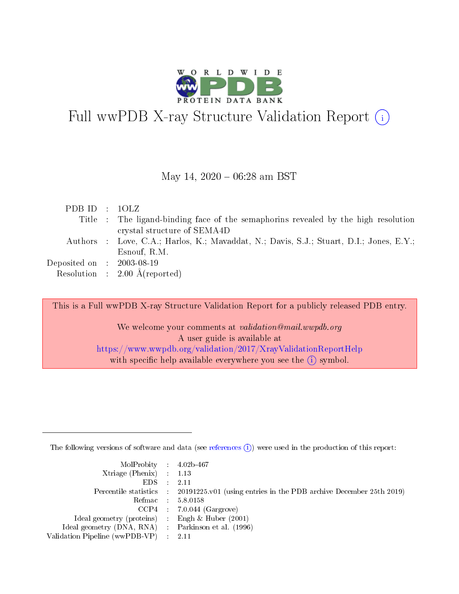

# Full wwPDB X-ray Structure Validation Report  $(i)$

#### May 14,  $2020 - 06:28$  am BST

| Title : The ligand-binding face of the semaphorins revealed by the high resolution<br>crystal structure of SEMA4D<br>Authors : Love, C.A.; Harlos, K.; Mavaddat, N.; Davis, S.J.; Stuart, D.I.; Jones, E.Y.;<br>Esnouf, R.M.<br>Deposited on $\;$ : 2003-08-19 $\;$<br>Resolution : $2.00 \text{ Å}$ (reported) | PDB ID : $10LZ$ |  |
|-----------------------------------------------------------------------------------------------------------------------------------------------------------------------------------------------------------------------------------------------------------------------------------------------------------------|-----------------|--|
|                                                                                                                                                                                                                                                                                                                 |                 |  |
|                                                                                                                                                                                                                                                                                                                 |                 |  |
|                                                                                                                                                                                                                                                                                                                 |                 |  |
|                                                                                                                                                                                                                                                                                                                 |                 |  |
|                                                                                                                                                                                                                                                                                                                 |                 |  |
|                                                                                                                                                                                                                                                                                                                 |                 |  |

This is a Full wwPDB X-ray Structure Validation Report for a publicly released PDB entry.

We welcome your comments at *validation@mail.wwpdb.org* A user guide is available at <https://www.wwpdb.org/validation/2017/XrayValidationReportHelp> with specific help available everywhere you see the  $(i)$  symbol.

The following versions of software and data (see [references](https://www.wwpdb.org/validation/2017/XrayValidationReportHelp#references)  $(i)$ ) were used in the production of this report:

| $MolProbability$ 4.02b-467                          |                                                                                            |
|-----------------------------------------------------|--------------------------------------------------------------------------------------------|
| Xtriage (Phenix) $: 1.13$                           |                                                                                            |
| EDS -                                               | -2.11                                                                                      |
|                                                     | Percentile statistics : 20191225.v01 (using entries in the PDB archive December 25th 2019) |
|                                                     | Refmac 58.0158                                                                             |
|                                                     | $CCP4$ : 7.0.044 (Gargrove)                                                                |
| Ideal geometry (proteins) : Engh $\&$ Huber (2001)  |                                                                                            |
| Ideal geometry (DNA, RNA) : Parkinson et al. (1996) |                                                                                            |
| Validation Pipeline (wwPDB-VP) :                    | -2.11                                                                                      |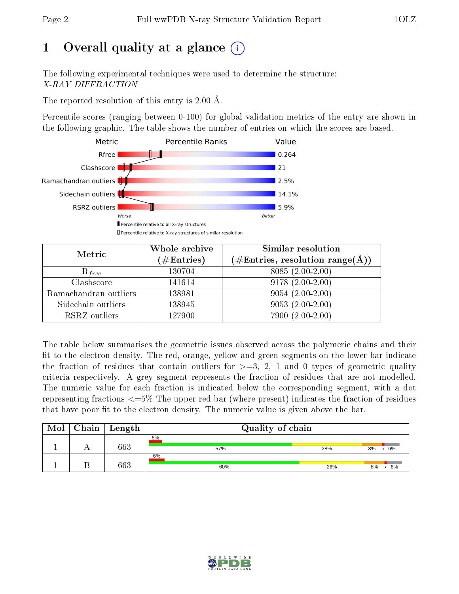# 1 [O](https://www.wwpdb.org/validation/2017/XrayValidationReportHelp#overall_quality)verall quality at a glance  $(i)$

The following experimental techniques were used to determine the structure: X-RAY DIFFRACTION

The reported resolution of this entry is 2.00 Å.

Percentile scores (ranging between 0-100) for global validation metrics of the entry are shown in the following graphic. The table shows the number of entries on which the scores are based.



| Metric                | Whole archive        | Similar resolution                                                        |
|-----------------------|----------------------|---------------------------------------------------------------------------|
|                       | $(\#\text{Entries})$ | $\phi^{\prime}\#\mathrm{Entries}, \mathrm{resolution~range}(\mathrm{A}).$ |
| $R_{free}$            | 130704               | $8085(2.00-2.00)$                                                         |
| Clashscore            | 141614               | $9178(2.00-2.00)$                                                         |
| Ramachandran outliers | 138981               | $9054(2.00-2.00)$                                                         |
| Sidechain outliers    | 138945               | $9053(2.00-2.00)$                                                         |
| RSRZ outliers         | 127900               | $7900(2.00-2.00)$                                                         |

The table below summarises the geometric issues observed across the polymeric chains and their fit to the electron density. The red, orange, yellow and green segments on the lower bar indicate the fraction of residues that contain outliers for  $>=3, 2, 1$  and 0 types of geometric quality criteria respectively. A grey segment represents the fraction of residues that are not modelled. The numeric value for each fraction is indicated below the corresponding segment, with a dot representing fractions  $\epsilon=5\%$  The upper red bar (where present) indicates the fraction of residues that have poor fit to the electron density. The numeric value is given above the bar.

| Mol | Chain | Length | Quality of chain |     |          |
|-----|-------|--------|------------------|-----|----------|
|     |       | 663    | 5%<br>57%        | 28% | 6%<br>8% |
|     |       | 663    | 6%<br>60%        | 26% | 6%<br>8% |

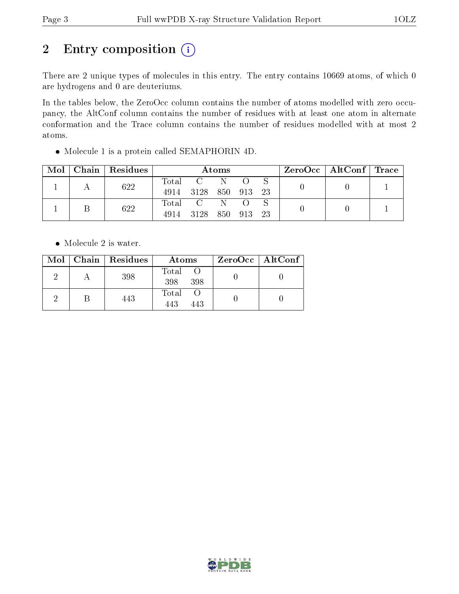# 2 Entry composition (i)

There are 2 unique types of molecules in this entry. The entry contains 10669 atoms, of which 0 are hydrogens and 0 are deuteriums.

In the tables below, the ZeroOcc column contains the number of atoms modelled with zero occupancy, the AltConf column contains the number of residues with at least one atom in alternate conformation and the Trace column contains the number of residues modelled with at most 2 atoms.

Molecule 1 is a protein called SEMAPHORIN 4D.

| Mol | Chain   Residues | Atoms         |                       |  |     | $\text{ZeroOcc}$   AltConf   Trace |  |  |
|-----|------------------|---------------|-----------------------|--|-----|------------------------------------|--|--|
|     | 622              | Total<br>4914 | 3128 850              |  | 913 | -23                                |  |  |
|     | 622              | 4914          | Total C N<br>3128 850 |  | 913 | -23                                |  |  |

• Molecule 2 is water.

|  | Mol   Chain   Residues | Atoms               | $ZeroOcc \   \$ AltConf |
|--|------------------------|---------------------|-------------------------|
|  | 398                    | Total<br>398<br>398 |                         |
|  | 443                    | Total<br>443<br>443 |                         |

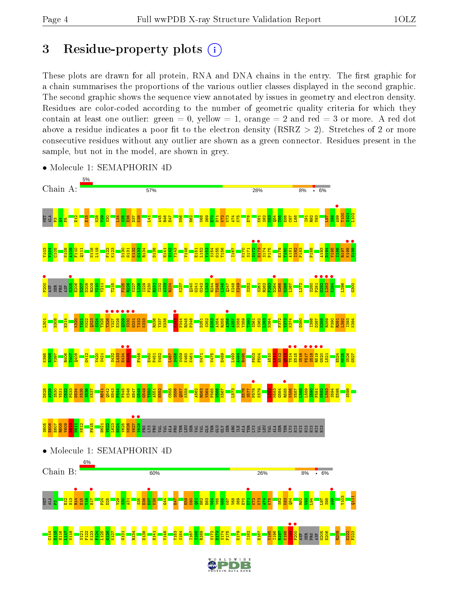## 3 Residue-property plots  $(i)$

These plots are drawn for all protein, RNA and DNA chains in the entry. The first graphic for a chain summarises the proportions of the various outlier classes displayed in the second graphic. The second graphic shows the sequence view annotated by issues in geometry and electron density. Residues are color-coded according to the number of geometric quality criteria for which they contain at least one outlier: green  $= 0$ , yellow  $= 1$ , orange  $= 2$  and red  $= 3$  or more. A red dot above a residue indicates a poor fit to the electron density (RSRZ  $> 2$ ). Stretches of 2 or more consecutive residues without any outlier are shown as a green connector. Residues present in the sample, but not in the model, are shown in grey.



• Molecule 1: SEMAPHORIN 4D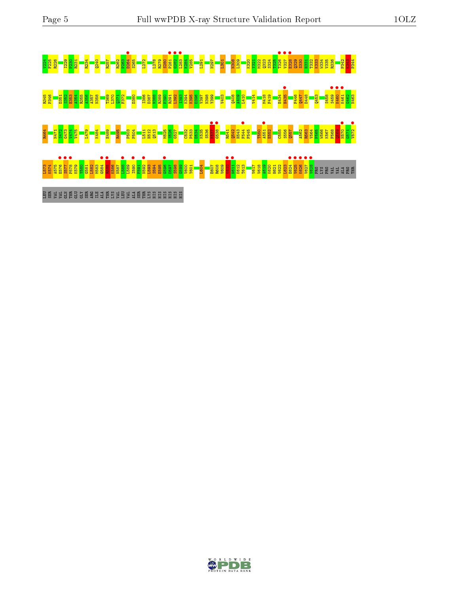**u de la commención de la commención de la commención de la commención de la commención de la commención de la<br>1982 - Commención de la commención de la commención de la commención de la commención de la commención de la<br>19** R345 P346 D351 S352 E353 A354 R355 A356 A357 N358 T369 L370 Q371 F372 D380 I386 D387 N388 R389 P390 R391 L392 I393 K394 K395 D396 V397 N398 Y399 V403 Q408 A409 L410 V414 M418 F419 E434 H435 • F446 Q447 D448 Q453 S458 S459 • K460 • K461 • G462 N463 R464 N471 S472 G473 V474 V475 L479 K484 E489 R495 P503 P504 L511 H512 Q513 M525 S526 G527 C532 P533 D534 K535 S536 K537 • G538 • R541 Q542 H543 F544 • F545 T550 A551 • E552 C555 S556 Q557 A562 R563 V564 F565 W566 K567 F568 Q569 N570 • G571 V572 • n a a politic politics and a political control of the control of the control of the control of the control of t<br>Little control of the control of the control of the control of the control of the control of the control of th B B S S G E G G G S H J E R S B S J B E R HI B HI B HI

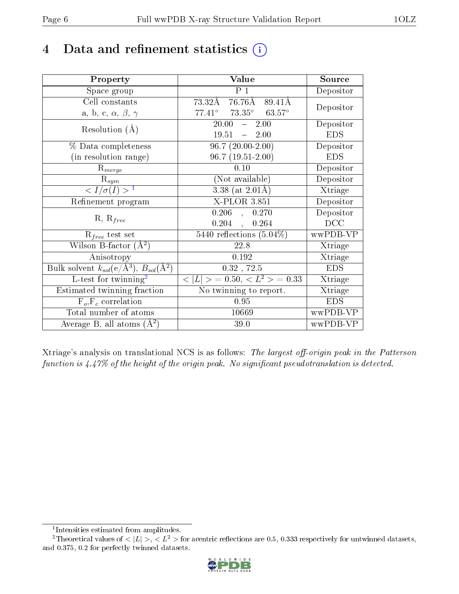## 4 Data and refinement statistics  $(i)$

| Property                                                         | Value                                      | Source     |
|------------------------------------------------------------------|--------------------------------------------|------------|
| Space group                                                      | $P_1$                                      | Depositor  |
| Cell constants                                                   | $73.32\text{\AA}$ $76.76\text{\AA}$ 89.41Å | Depositor  |
| a, b, c, $\alpha$ , $\beta$ , $\gamma$                           | $77.41^\circ$<br>$73.35^{\circ}$ 63.57°    |            |
| Resolution $(A)$                                                 | 20.00<br>$-2.00$                           | Depositor  |
|                                                                  | 19.51<br>$-2.00$                           | <b>EDS</b> |
| $\%$ Data completeness                                           | $96.7(20.00-2.00)$                         | Depositor  |
| (in resolution range)                                            | 96.7 (19.51-2.00)                          | <b>EDS</b> |
| $R_{merge}$                                                      | 0.10                                       | Depositor  |
| $\mathrm{R}_{sym}$                                               | (Not available)                            | Depositor  |
| $\langle I/\sigma(I) \rangle^{-1}$                               | $3.38$ (at $2.01\text{\AA}$ )              | Xtriage    |
| Refinement program                                               | $X-PLOR$ 3.851                             | Depositor  |
|                                                                  | $0.206$ ,<br>0.270                         | Depositor  |
| $R, R_{free}$                                                    | $0.204$ ,<br>0.264                         | DCC        |
| $R_{free}$ test set                                              | 5440 reflections $(5.04\%)$                | wwPDB-VP   |
| Wilson B-factor $(A^2)$                                          | 22.8                                       | Xtriage    |
| Anisotropy                                                       | 0.192                                      | Xtriage    |
| Bulk solvent $k_{sol}(\text{e}/\text{A}^3), B_{sol}(\text{A}^2)$ | $0.32$ , $72.5$                            | <b>EDS</b> |
| L-test for $\mathrm{twinning}^2$                                 | $< L >$ = 0.50, $< L2$ > = 0.33            | Xtriage    |
| Estimated twinning fraction                                      | No twinning to report.                     | Xtriage    |
| $\overline{F_o}, \overline{F_c}$ correlation                     | 0.95                                       | <b>EDS</b> |
| Total number of atoms                                            | 10669                                      | wwPDB-VP   |
| Average B, all atoms $(A^2)$                                     | 39.0                                       | wwPDB-VP   |

Xtriage's analysis on translational NCS is as follows: The largest off-origin peak in the Patterson function is  $4.47\%$  of the height of the origin peak. No significant pseudotranslation is detected.

<sup>&</sup>lt;sup>2</sup>Theoretical values of  $\langle |L| \rangle$ ,  $\langle L^2 \rangle$  for acentric reflections are 0.5, 0.333 respectively for untwinned datasets, and 0.375, 0.2 for perfectly twinned datasets.



<span id="page-5-1"></span><span id="page-5-0"></span><sup>1</sup> Intensities estimated from amplitudes.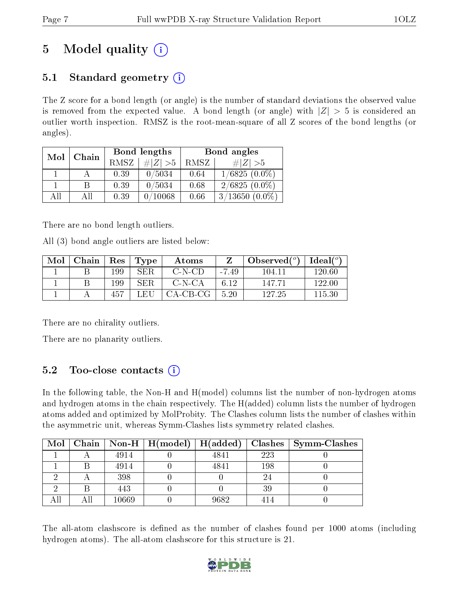# 5 Model quality  $(i)$

### 5.1 Standard geometry  $(i)$

The Z score for a bond length (or angle) is the number of standard deviations the observed value is removed from the expected value. A bond length (or angle) with  $|Z| > 5$  is considered an outlier worth inspection. RMSZ is the root-mean-square of all Z scores of the bond lengths (or angles).

| Mol | Chain |      | Bond lengths     | Bond angles |                  |  |
|-----|-------|------|------------------|-------------|------------------|--|
|     |       | RMSZ | # $ Z  > 5$      | RMSZ        | # $ Z  > 5$      |  |
|     |       | 0.39 | 0/5034           | 0.64        | $1/6825(0.0\%)$  |  |
|     | B     | 0.39 | 0/5034           | 0.68        | $2/6825(0.0\%)$  |  |
| AĦ  | ΑH    | 0.39 | $^{\prime}10068$ | 0.66        | $3/13650(0.0\%)$ |  |

There are no bond length outliers.

All (3) bond angle outliers are listed below:

| Mol | Chain | Res | Type       | Atoms      |         | Observed $(°)$ | Ideal $({}^{\circ})$ |
|-----|-------|-----|------------|------------|---------|----------------|----------------------|
|     |       | 199 | SER        | C-N-CD     | $-7.49$ | 104.11         | 120.60               |
|     |       | 199 | <b>SER</b> | C-N-CA     | 6.12    | 147.71         | 122.00               |
|     |       | 457 | - FH       | $CA-CB-CG$ | 5.20    | 127.25         | 115.30               |

There are no chirality outliers.

There are no planarity outliers.

### $5.2$  Too-close contacts  $(i)$

In the following table, the Non-H and H(model) columns list the number of non-hydrogen atoms and hydrogen atoms in the chain respectively. The H(added) column lists the number of hydrogen atoms added and optimized by MolProbity. The Clashes column lists the number of clashes within the asymmetric unit, whereas Symm-Clashes lists symmetry related clashes.

| Mol |       | Chain   Non-H   $H (model)$   $H (added)$ |      |     | $\mid$ Clashes $\mid$ Symm-Clashes |
|-----|-------|-------------------------------------------|------|-----|------------------------------------|
|     | 4914  |                                           | 4841 | 223 |                                    |
|     | 4914  |                                           | 4841 | 198 |                                    |
|     | 398   |                                           |      | 24  |                                    |
|     | 443   |                                           |      | 39  |                                    |
|     | 10669 |                                           | 9682 |     |                                    |

The all-atom clashscore is defined as the number of clashes found per 1000 atoms (including hydrogen atoms). The all-atom clashscore for this structure is 21.

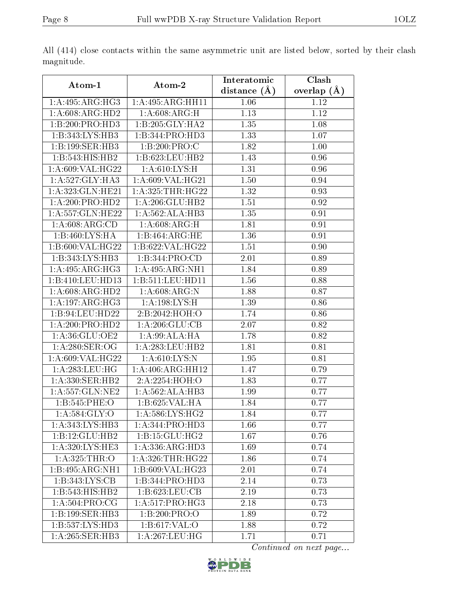|                                  |                              | Interatomic       | Clash         |
|----------------------------------|------------------------------|-------------------|---------------|
| Atom-1                           | Atom-2                       | distance $(A)$    | overlap $(A)$ |
| 1:A:495:ARG:HG3                  | 1: A:495: ARG: HH11          | 1.06              | 1.12          |
| 1: A:608:ARG:HD2                 | 1:A:608:ARG:H                | $\overline{1.13}$ | 1.12          |
| 1:B:200:PRO:HD3                  | 1:B:205:GLY:HA2              | 1.35              | 1.08          |
| 1:B:343:LYS:HB3                  | 1:B:344:PRO:HD3              | 1.33              | 1.07          |
| 1:B:199:SER:HB3                  | 1:B:200:PRO:C                | 1.82              | 1.00          |
| 1:B:543:HIS:HB2                  | 1:B:623:LEU:HB2              | 1.43              | 0.96          |
| 1: A:609: VAL:HG22               | 1: A:610: LYS:H              | 1.31              | 0.96          |
| 1: A:527: GLY:HA3                | 1: A:609: VAL:HG21           | 1.50              | 0.94          |
| $1: A:323: GLN: \overline{HE21}$ | $1:$ A:325:THR:HG22          | 1.32              | 0.93          |
| 1:A:200:PRO:HD2                  | 1:A:206:GLU:HB2              | 1.51              | 0.92          |
| 1: A: 557: GLN: HE22             | 1:A:562:ALA:HB3              | 1.35              | 0.91          |
| 1:A:608:ARG:CD                   | 1: A:608:ARG:H               | 1.81              | 0.91          |
| 1:B:460:LYS:HA                   | 1:B:464:ARG:HE               | 1.36              | 0.91          |
| 1:B:600:VAL:HG22                 | 1:B:622:VAL:HG22             | 1.51              | 0.90          |
| 1:B:343:LYS:HB3                  | 1:B:344:PRO:CD               | 2.01              | 0.89          |
| 1: A:495: ARG: HG3               | $1:A:495:ARG:\overline{NH1}$ | 1.84              | 0.89          |
| 1:B:410:LEU:HD13                 | 1:B:511:LEU:HD11             | 1.56              | 0.88          |
| 1: A:608: ARG:HD2                | 1: A:608: ARG: N             | 1.88              | 0.87          |
| 1:A:197:ARG:HG3                  | 1:A:198:LYS:H                | 1.39              | 0.86          |
| 1:B:94:LEU:HD22                  | 2: B: 2042: HOH:O            | 1.74              | 0.86          |
| 1:A:200:PRO:HD2                  | 1: A:206: GLU:CB             | 2.07              | 0.82          |
| 1: A:36: GLU:OE2                 | 1: A:99: ALA: HA             | 1.78              | 0.82          |
| 1:A:280:SER:OG                   | 1:A:283:LEU:HB2              | 1.81              | 0.81          |
| 1: A:609: VAL:HG22               | 1: A:610:LYS:N               | 1.95              | 0.81          |
| 1: A: 283: LEU: HG               | 1: A:406:ARG:HH12            | 1.47              | 0.79          |
| 1:A:330:SER:HB2                  | 2: A:2254:HOH:O              | 1.83              | 0.77          |
| 1:A:557:GLN:NE2                  | 1:A:562:ALA:HB3              | 1.99              | 0.77          |
| 1:B:545:PHE:O                    | 1:B:625:VAL:HA               | 1.84              | 0.77          |
| 1:A:584:GLY:O                    | 1: A:586: LYS: HG2           | 1.84              | 0.77          |
| 1:A:343:LYS:HB3                  | 1:A:344:PRO:HD3              | 1.66              | 0.77          |
| 1:B:12:GLU:HB2                   | 1:B:15:GLU:HG2               | 1.67              | 0.76          |
| 1:A:320:LYS:HE3                  | 1:A:336:ARG:HD3              | 1.69              | 0.74          |
| 1: A:325:THR:O                   | 1: A: 326: THR: HG22         | 1.86              | 0.74          |
| 1:B:495:ARG:NH1                  | 1:B:609:VAL:HG23             | 2.01              | 0.74          |
| 1:B:343:LYS:CB                   | 1:B:344:PRO:HD3              | 2.14              | 0.73          |
| 1:B:543:HIS:HB2                  | 1: B:623:LEU:CB              | 2.19              | 0.73          |
| 1: A:504:PRO:CG                  | 1:A:517:PRO:HG3              | 2.18              | 0.73          |
| 1:B:199:SER:HB3                  | 1:B:200:PRO:O                | 1.89              | 0.72          |
| 1:B:537:LYS:H <sub>D3</sub>      | 1: B: 617: VAL: O            | 1.88              | 0.72          |
| 1:A:265:SER:HB3                  | 1: A:267:LEU:HG              | 1.71              | 0.71          |

All (414) close contacts within the same asymmetric unit are listed below, sorted by their clash magnitude.

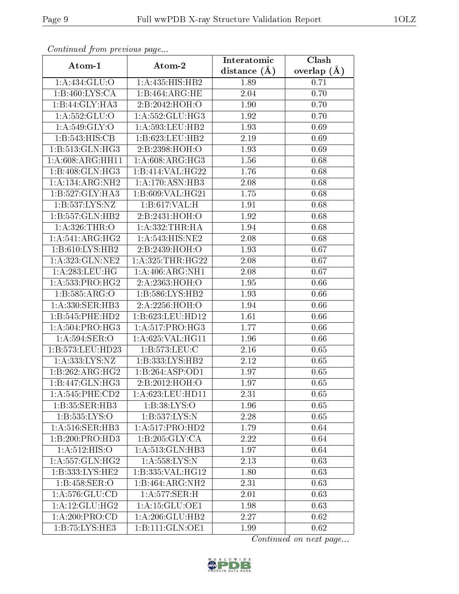| Continueu from previous page |                                        | Interatomic    | $\overline{\text{Clash}}$ |
|------------------------------|----------------------------------------|----------------|---------------------------|
| Atom-1                       | Atom-2                                 | distance $(A)$ | overlap $(A)$             |
| 1:A:434:GLU:O                | 1:A:435:HIS:HB2                        | 1.89           | 0.71                      |
| 1:B:460:LYS:CA               | 1:B:464:ARG:HE                         | 2.04           | 0.70                      |
| 1:B:44:GLY:HA3               | 2: B: 2042: HOH:O                      | 1.90           | 0.70                      |
| 1: A: 552: GLU:O             | 1: A: 552: GLU: HG3                    | 1.92           | 0.70                      |
| 1: A:549: GLY:O              | 1: A:593:LEU:HB2                       | 1.93           | 0.69                      |
| 1:B:543:HIS:CB               | 1:B:623:LEU:HB2                        | 2.19           | 0.69                      |
| 1:B:513:GLN:HG3              | 2:B:2398:HOH:O                         | 1.93           | 0.69                      |
| 1: A:608: ARG: HH11          | 1: A:608: ARG:HG3                      | 1.56           | 0.68                      |
| 1:B:408:GLN:HG3              | 1:B:414:VAL:HG22                       | 1.76           | 0.68                      |
| 1:A:134:ARG:NH2              | 1:A:170:ASN:HB3                        | 2.08           | 0.68                      |
| 1:B:527:GLY:HA3              | 1:B:609:VAL:HG21                       | 1.75           | 0.68                      |
| 1:B:537:LYS:NZ               | 1:B:617:VAL:H                          | 1.91           | 0.68                      |
| 1:B:557:GLN:HB2              | 2:B:2431:HOH:O                         | 1.92           | 0.68                      |
| 1: A:326:THR:O               | 1: A: 332: THR: HA                     | 1.94           | 0.68                      |
| 1: A:541: ARG: HG2           | 1:A:543:HIS:NE2                        | 2.08           | 0.68                      |
| 1:B:610:LYS:HB2              | 2:B:2439:HOH:O                         | 1.93           | 0.67                      |
| 1:A:323:GLN:NE2              | 1: A:325:THR:HG22                      | 2.08           | 0.67                      |
| 1: A: 283: LEU: HG           | 1: A:406:ARG:NH1                       | 2.08           | 0.67                      |
| 1: A: 533: PRO:HG2           | 2:A:2363:HOH:O                         | 1.95           | 0.66                      |
| 1:B:585:ARG:O                | 1: B:586: LYS: HB2                     | 1.93           | 0.66                      |
| 1:A:330:SER:HB3              | 2:A:2256:HOH:O                         | 1.94           | 0.66                      |
| 1:B:545:PHE:HD2              | 1:B:623:LEU:HD12                       | 1.61           | 0.66                      |
| 1: A:504:PRO:HG3             | 1:A:517:PRO:HG3                        | 1.77           | 0.66                      |
| 1: A:594:SER:O               | 1:A:625:VAL:HG11                       | 1.96           | 0.66                      |
| 1:B:573:LEU:HD23             | 1:B:573:LEU:C                          | 2.16           | 0.65                      |
| 1: A: 333: LYS: NZ           | 1:B:333:LYS:HB2                        | 2.12           | 0.65                      |
| 1:B:262:ARG:HG2              | 1:B:264:ASP:OD1                        | 1.97           | 0.65                      |
| 1:B:447:GLN:HG3              | 2:B:2012:H <sub>0</sub> H <sub>0</sub> | 1.97           | 0.65                      |
| 1: A:545:PHE:CD2             | 1: A:623:LEU:HD11                      | 2.31           | 0.65                      |
| 1:B:35:SER:HB3               | 1:B:38:LYS:O                           | 1.96           | 0.65                      |
| 1:B:535:LYS:O                | 1:B:537:LYS:N                          | 2.28           | 0.65                      |
| 1: A:516: SER:HB3            | 1:A:517:PRO:HD2                        | 1.79           | 0.64                      |
| 1:B:200:PRO:HD3              | 1:B:205:GLY:CA                         | 2.22           | 0.64                      |
| 1: A:512: HIS:O              | 1:A:513:GLN:HB3                        | 1.97           | 0.64                      |
| 1:A:557:GLN:HG2              | 1:A:558:LYS:N                          | 2.13           | 0.63                      |
| 1:B:333:LYS:HE2              | 1:B:335: VAL: HG12                     | 1.80           | 0.63                      |
| 1:B:458:SER:O                | 1:B:464:ARG:NH2                        | 2.31           | 0.63                      |
| 1:A:576:GLU:CD               | $1: A:577: \overline{\text{SER:H}}$    | 2.01           | 0.63                      |
| 1: A:12: GLU: HG2            | 1:A:15:GLU:OE1                         | 1.98           | 0.63                      |
| 1:A:200:PRO:CD               | 1:A:206:GLU:HB2                        | 2.27           | 0.62                      |
| 1:B:75:LYS:HE3               | 1:B:111:GLN:OE1                        | 1.99           | 0.62                      |

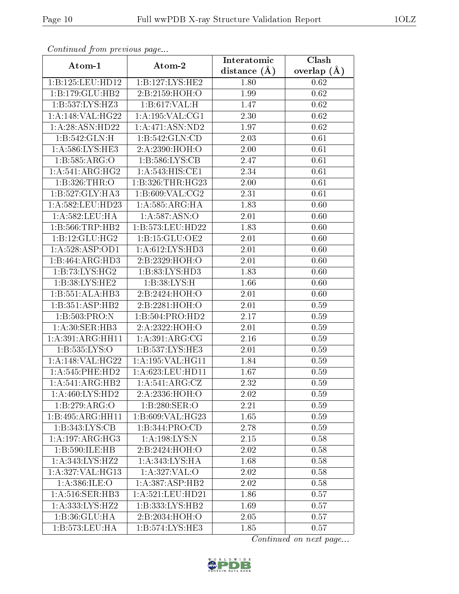| Comunaca jiom previous page  |                    | Interatomic    | Clash         |
|------------------------------|--------------------|----------------|---------------|
| Atom-1                       | Atom-2             | distance $(A)$ | overlap $(A)$ |
| 1:B:125:LEU:HD12             | 1:B:127:LYS:HE2    | 1.80           | 0.62          |
| 1:B:179:GLU:HB2              | 2:B:2159:HOH:O     | 1.99           | 0.62          |
| 1:B:537:LYS:H <sub>23</sub>  | 1: B: 617: VAL:H   | 1.47           | 0.62          |
| 1:A:148:VAL:HG22             | 1: A:195: VAL:CG1  | 2.30           | 0.62          |
| 1: A:28: ASN:HD22            | 1:A:471:ASN:ND2    | 1.97           | 0.62          |
| 1:B:542:GLN:H                | 1:B:542:GLN:CD     | 2.03           | 0.61          |
| 1: A:586: LYS: HE3           | 2:A:2390:HOH:O     | $2.00\,$       | 0.61          |
| 1:B:585:ARG:O                | 1: B: 586: LYS: CB | 2.47           | 0.61          |
| 1:A:541:ARG:HG2              | 1: A:543:HIS:CE1   | 2.34           | 0.61          |
| 1:B:326:THR:O                | 1:B:326:THR:HG23   | 2.00           | 0.61          |
| 1:B:527:GLY:HA3              | 1:B:609:VAL:CG2    | 2.31           | 0.61          |
| 1: A:582: LEU: HD23          | 1:A:585:ARG:HA     | 1.83           | 0.60          |
| 1:A:582:LEU:HA               | 1: A:587: ASN:O    | 2.01           | 0.60          |
| 1:B:566:TRP:HB2              | 1:B:573:LEU:HD22   | 1.83           | 0.60          |
| 1:B:12:GLU:HG2               | 1:B:15:GLU:OE2     | 2.01           | 0.60          |
| 1: A:528: ASP:OD1            | 1: A:612: LYS: HD3 | 2.01           | 0.60          |
| 1:B:464:ARG:HD3              | 2:B:2329:HOH:O     | 2.01           | 0.60          |
| 1:B:73:LYS:HG2               | 1: B: 83: LYS: HD3 | 1.83           | 0.60          |
| 1:B:38:LYS:HE2               | 1: B:38: LYS:H     | 1.66           | 0.60          |
| 1:B:551:ALA:HB3              | 2:B:2424:HOH:O     | 2.01           | 0.60          |
| 1:B:351:ASP:HB2              | 2:B:2281:HOH:O     | 2.01           | 0.59          |
| 1:B:503:PRO:N                | 1:B:504:PRO:HD2    | 2.17           | 0.59          |
| 1: A:30: SER: HB3            | 2:A:2322:HOH:O     | 2.01           | 0.59          |
| 1:A:391:ARG:HH11             | 1:A:391:ARG:CG     | 2.16           | 0.59          |
| 1:B:535:LYS:O                | 1:B:537:LYS:HE3    | 2.01           | 0.59          |
| 1:A:148:VAL:H G22            | 1:A:195:VAL:HG11   | 1.84           | 0.59          |
| 1: A:545:PHE:HD2             | 1: A:623:LEU:HD11  | 1.67           | 0.59          |
| 1:A:541:ARG:HB2              | 1: A:541: ARG: CZ  | 2.32           | 0.59          |
| 1: A:460: LYS: HD2           | 2:A:2336:HOH:O     | 2.02           | 0.59          |
| 1:B:279:ARG:O                | 1: B:280: SER:O    | 2.21           | 0.59          |
| 1:B:495:ARG:HH11             | 1:B:609:VAL:HG23   | 1.65           | 0.59          |
| 1:B:343:LYS:CB               | 1:B:344:PRO:CD     | 2.78           | 0.59          |
| $1:A:197:ARG:\overline{HG3}$ | 1:A:198:LYS:N      | 2.15           | 0.58          |
| 1:B:590:ILE:HB               | 2:B:2424:HOH:O     | 2.02           | 0.58          |
| 1:A:343:LYS:HZ2              | 1: A:343: LYS: HA  | 1.68           | 0.58          |
| 1:A:327:VAL:HG13             | 1: A:327: VAL:O    | 2.02           | 0.58          |
| 1:A:386:ILE:O                | 1:A:387:ASP:HB2    | 2.02           | 0.58          |
| 1: A:516: SER:HB3            | 1:A:521:LEU:HD21   | 1.86           | 0.57          |
| 1: A: 333: LYS: HZ2          | 1:B:333:LYS:HB2    | 1.69           | 0.57          |
| 1:B:36:GLU:HA                | 2:B:2034:HOH:O     | 2.05           | 0.57          |
| 1:B:573:LEU:HA               | 1:B:574:LYS:HE3    | 1.85           | 0.57          |

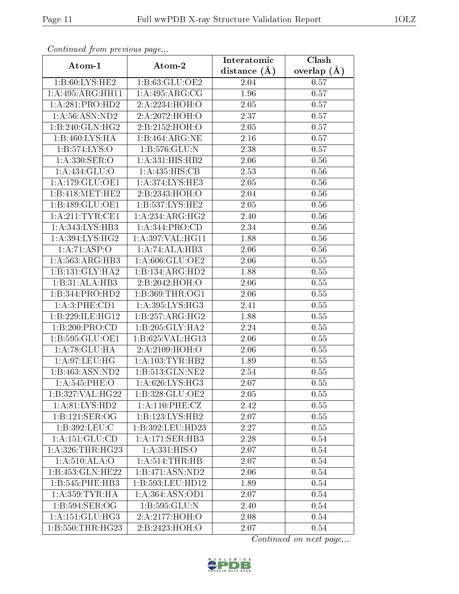| Continuea from previous page  |                                                | Clash<br>Interatomic |               |  |
|-------------------------------|------------------------------------------------|----------------------|---------------|--|
| Atom-1                        | Atom-2                                         | distance $(A)$       | overlap $(A)$ |  |
| 1:B:60:LYS:HE2                | 1:B:63:GLU:OE2                                 | 2.04                 | 0.57          |  |
| 1:A:495:ARG:HH11              | 1:A:495:ARG:CG                                 | 1.96                 | 0.57          |  |
| 1:A:281:PRO:HD2               | 2:A:2234:HOH:O                                 | 2.05                 | 0.57          |  |
| 1: A:56: ASN:ND2              | 2:A:2072:HOH:O                                 | 2.37                 | 0.57          |  |
| 1:B:240:GLN:HG2               | 2:B:2152:HOH:O                                 | 2.05                 | 0.57          |  |
| 1:B:460:LYS:HA                | 1:B:464:ARG:NE                                 | 2.16                 | 0.57          |  |
| 1: B: 574: LYS: O             | 1: B: 576: GLU: N                              | 2.38                 | 0.57          |  |
| 1: A: 330: SER: O             | 1:A:331:HIS:HB2                                | 2.06                 | 0.56          |  |
| 1: A: 434: GLU: O             | 1:A:435:HIS:CB                                 | 2.53                 | 0.56          |  |
| 1: A:179: GLU:OE1             | 1: A:374: LYS: HE3                             | 2.05                 | 0.56          |  |
| 1:B:418:MET:HE2               | 2: B: 2343: HOH:O                              | 2.04                 | 0.56          |  |
| 1:B:489:GLU:OE1               | $1: B: 537: \overline{\text{LYS:H} \text{E2}}$ | 2.05                 | 0.56          |  |
| 1: A:211:TYR:CE1              | 1:A:234:ARG:HG2                                | 2.40                 | 0.56          |  |
| 1:A:343:LYS:HB3               | 1: A:344: PRO:CD                               | 2.34                 | 0.56          |  |
| 1: A:394: LYS: HG2            | 1:A:397:VAL:HG11                               | 1.88                 | 0.56          |  |
| 1: A:71: ASP:O                | 1:A:74:ALA:HB3                                 | 2.06                 | 0.56          |  |
| 1:A:563:ARG:HB3               | 1:A:606:GLU:OE2                                | 2.06                 | 0.55          |  |
| 1:B:131:GLY:HA2               | 1:B:134:ARG:HD2                                | 1.88                 | 0.55          |  |
| 1:B:31:ALA:HB3                | 2:B:2042:HOH:O                                 | 2.06                 | 0.55          |  |
| 1:B:344:PRO:HD2               | 1: B: 369: THR: OG1                            | 2.06                 | 0.55          |  |
| 1: A:3: PHE: CD1              | 1: A:395: LYS: HG3                             | 2.41                 | 0.55          |  |
| 1:B:229:ILE:HG12              | 1:B:257:ARG:HG2                                | 1.88                 | 0.55          |  |
| 1:B:200:PRO:CD                | 1:B:205:GLY:HA2                                | 2.24                 | 0.55          |  |
| 1:B:595:GLU:OE1               | 1:B:625:VAL:HG13                               | 2.06                 | 0.55          |  |
| 1: A:78: GLU:HA               | 2:A:2109:HOH:O                                 | 2.06                 | 0.55          |  |
| 1:A:97:LEU:HG                 | 1: A: 103: TYR: HB2                            | 1.89                 | 0.55          |  |
| 1:B:463:ASN:ND2               | 1:B:513:GLN:NE2                                | 2.54                 | 0.55          |  |
| 1:A:545:PHE:O                 | 1:A:626:LYS:HG3                                | 2.07                 | 0.55          |  |
| $1:B:327:\overline{VAL:HG22}$ | 1:B:328:GLU:OE2                                | 2.05                 | 0.55          |  |
| 1: A:81:LYS:HD2               | 1: A:110: PHE: CZ                              | 2.42                 | 0.55          |  |
| 1:B:121:SER:OG                | 1:B:123:LYS:HB2                                | 2.07                 | 0.55          |  |
| 1:B:392:LEU:C                 | 1:B:392:LEU:HD23                               | 2.27                 | 0.55          |  |
| 1: A: 151: GLU: CD            | 1:A:171:SER:HB3                                | 2.28                 | 0.54          |  |
| 1:A:326:THR:HG23              | 1: A: 331: HIS: O                              | 2.07                 | 0.54          |  |
| 1:A:510:ALA:O                 | 1: A:514:THR:HB                                | 2.07                 | 0.54          |  |
| 1:B:453:GLN:HE22              | 1:B:471:ASN:ND2                                | 2.06                 | 0.54          |  |
| 1:B:545:PHE:HB3               | 1:B:593:LEU:HD12                               | 1.89                 | 0.54          |  |
| 1: A: 359: TYR: HA            | 1:A:364:ASN:OD1                                | 2.07                 | 0.54          |  |
| 1:B:594:SER:OG                | 1:B:595:GLU:N                                  | 2.40                 | 0.54          |  |
| 1: A:151: GLU:HG3             | 2:A:2177:HOH:O                                 | 2.08                 | 0.54          |  |
| 1: B: 550: THR: HG23          | 2:B:2423:HOH:O                                 | 2.07                 | 0.54          |  |

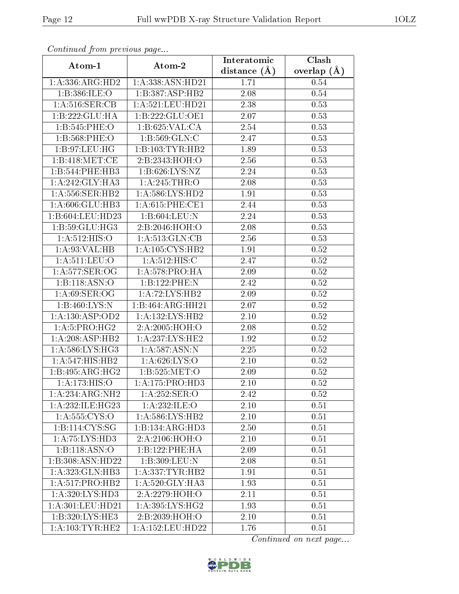| Continuea from previous page |                                      | Interatomic      | Clash           |  |
|------------------------------|--------------------------------------|------------------|-----------------|--|
| Atom-1                       | Atom-2                               | distance $(\AA)$ | overlap $(\AA)$ |  |
| 1: A: 336: ARG: HD2          | 1:A:338:ASN:HD21                     | 1.71             | 0.54            |  |
| 1:B:386:ILE:O                | 1:B:387:ASP:HB2                      | 2.08             | $0.54\,$        |  |
| 1: A:516: SER: CB            | 1: A:521:LEU:HD21                    | 2.38             | 0.53            |  |
| 1:B:222:GLU:HA               | 1:B:222:GLU:OE1                      | 2.07             | 0.53            |  |
| 1:B:545:PHE:O                | 1:B:625:VAL:CA                       | 2.54             | 0.53            |  |
| 1:B:568:PHE:O                | 1:B:569:GLN:C                        | 2.47             | 0.53            |  |
| 1:B:97:LEU:HG                | 1:B:103:TYR:HB2                      | 1.89             | 0.53            |  |
| 1:B:418:MET:CE               | 2:B:2343:HOH:O                       | 2.56             | 0.53            |  |
| 1:B:544:PHE:HB3              | 1:B:626:LYS:NZ                       | 2.24             | 0.53            |  |
| 1:A:242:GLY:HA3              | 1:A:245:THR:O                        | 2.08             | 0.53            |  |
| 1: A:556: SER: HB2           | 1: A:586: LYS: HD2                   | 1.91             | 0.53            |  |
| 1:A:606:GLU:HB3              | 1: A:615: PHE:CE1                    | 2.44             | 0.53            |  |
| 1:B:604:LEU:HD23             | 1:B:604:LEU:N                        | 2.24             | 0.53            |  |
| 1:B:59:GLU:HG3               | 2:B:2046:HOH:O                       | 2.08             | 0.53            |  |
| 1: A:512: HIS:O              | 1: A:513: GLN:CB                     | 2.56             | 0.53            |  |
| 1: A:93: VAL:HB              | 1: A: 105: CYS: HB2                  | 1.91             | 0.52            |  |
| 1:A:511:LEU:O                | 1: A:512: HIS:C                      | 2.47             | 0.52            |  |
| 1:A:577:SER:OG               | 1: A:578: PRO:HA                     | 2.09             | 0.52            |  |
| 1:B:118:ASN:O                | 1:B:122:PHE:N                        | 2.42             | $0.52\,$        |  |
| 1: A:69: SER:OG              | 1:A:72:LYS:HB2                       | 2.09             | 0.52            |  |
| 1:B:460:LYS:N                | 1:B:464:ARG:HH21                     | 2.07             | 0.52            |  |
| 1:A:130:ASP:OD2              | 1:A:132:LYS:HB2                      | 2.10             | 0.52            |  |
| 1:A:5:PRO:HG2                | 2:A:2005:HOH:O                       | 2.08             | 0.52            |  |
| 1:A:208:ASP:HB2              | 1: A: 237: LYS: HE2                  | 1.92             | $0.52\,$        |  |
| 1:A:586:LYS:HG3              | 1:A:587:ASN:N                        | $2.25\,$         | 0.52            |  |
| 1: A:547:HIS:HB2             | 1: A:626: LYS:O                      | 2.10             | 0.52            |  |
| 1:B:495:ARG:HG2              | 1:B:525:MET:O                        | 2.09             | 0.52            |  |
| 1: A: 173: HIS: O            | 1: A:175: PRO:HD3                    | $2.10\,$         | 0.52            |  |
| 1:A:234:ARG:NH2              | 1:A:252:SER:O                        | 2.42             | 0.52            |  |
| 1:A:232:ILE:HG23             | 1:A:232:ILE:O                        | 2.10             | 0.51            |  |
| 1: A: 555: CYS:O             | 1: A:586: LYS: HB2                   | 2.10             | 0.51            |  |
| 1: B: 114: CYS: SG           | 1:B:134:ARG:HD3                      | 2.50             | 0.51            |  |
| 1: A: 75: LYS: HD3           | 2:A:2106:HOH:O                       | 2.10             | 0.51            |  |
| 1:B:118:ASN:O                | 1:B:122:PHE:HA                       | 2.09             | 0.51            |  |
| 1:B:308:ASN:HD22             | 1:B:309:LEU:N                        | 2.08             | 0.51            |  |
| 1:A:323:GLN:HB3              | 1: A: 337: TYR: HB2                  | 1.91             | 0.51            |  |
| 1: A:517: PRO:HB2            | 1: A:520: GLY:HA3                    | 1.93             | 0.51            |  |
| 1: A:320: LYS: HD3           | 2:A:2279:HOH:O                       | 2.11             | 0.51            |  |
| 1:A:301:LEU:HD21             | $1:\!A:\!395:\!LYS:\!H\overline{G2}$ | 1.93             | 0.51            |  |
| 1:B:320:LYS:HE3              | 2:B:2039:HOH:O                       | 2.10             | 0.51            |  |
| 1: A: 103: TYR: HE2          | 1:A:152:LEU:HD22                     | 1.76             | 0.51            |  |

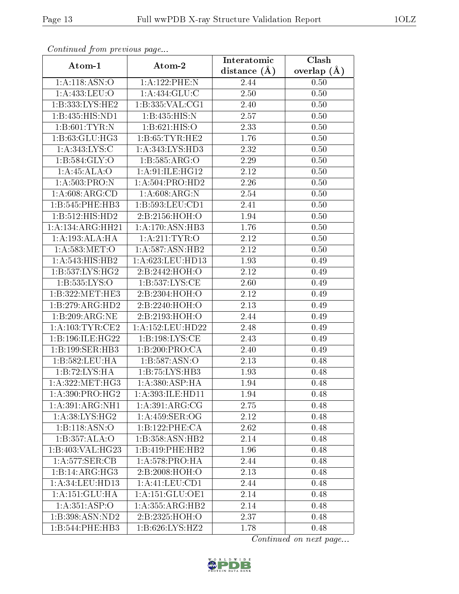| Continuea from previous page |                      | Interatomic       | Clash         |  |
|------------------------------|----------------------|-------------------|---------------|--|
| Atom-1                       | Atom-2               | distance $(A)$    | overlap $(A)$ |  |
| 1:A:118:ASN:O                | 1:A:122:PHE:N        | 2.44              | 0.50          |  |
| 1:A:433:LEU:O                | 1:A:434:GLU:C        | 2.50              | 0.50          |  |
| 1:B:333:LYS:HE2              | 1:B:335:VAL:CG1      | 2.40              | 0.50          |  |
| 1:B:435:HIS:ND1              | 1:B:435:HIS:N        | 2.57              | 0.50          |  |
| 1: B:601: TYR:N              | 1: B:621: HIS:O      | 2.33              | 0.50          |  |
| 1:B:63:GLU:HG3               | 1: B: 65: TYR: HE2   | 1.76              | 0.50          |  |
| 1:A:343:LYS:C                | 1: A: 343: LYS: HD3  | $\overline{2}.32$ | 0.50          |  |
| 1: B: 584: GLY:O             | 1: B: 585: ARG: O    | 2.29              | 0.50          |  |
| 1: A:45: ALA:O               | 1: A:91: ILE: HG12   | 2.12              | 0.50          |  |
| 1: A:503: PRO: N             | 1: A: 504: PRO: HD2  | 2.26              | 0.50          |  |
| 1: A:608: ARG:CD             | 1:A:608:ARG:N        | 2.54              | 0.50          |  |
| 1:B:545:PHE:HB3              | 1:B:593:LEU:CD1      | 2.41              | 0.50          |  |
| 1:B:512:HIS:HD2              | 2:B:2156:HOH:O       | 1.94              | 0.50          |  |
| 1:A:134:ARG:HH21             | 1:A:170:ASN:HB3      | 1.76              | 0.50          |  |
| 1: A: 193:ALA:HA             | 1:A:211:TYR:O        | 2.12              | 0.50          |  |
| 1: A:583:MET:O               | 1:A:587:ASN:HB2      | 2.12              | 0.50          |  |
| 1: A:543:HIS:HB2             | 1:A:623:LEU:HD13     | 1.93              | 0.49          |  |
| 1: B: 537: LYS: HG2          | 2:B:2442:HOH:O       | 2.12              | 0.49          |  |
| 1:B:535:LYS:O                | 1: B: 537: LYS: CE   | 2.60              | 0.49          |  |
| 1:B:322:MET:HE3              | 2:B:2304:HOH:O       | 2.12              | 0.49          |  |
| 1:B:279:ARG:HD2              | 2:B:2240:HOH:O       | 2.13              | 0.49          |  |
| 1:B:209:ARG:NE               | 2:B:2193:HOH:O       | 2.44              | 0.49          |  |
| 1: A:103:TYR:CE2             | 1:A:152:LEU:HD22     | 2.48              | 0.49          |  |
| 1:B:196:ILE:HG22             | 1: B: 198: LYS: CE   | 2.43              | 0.49          |  |
| 1:B:199:SER:HB3              | 1:B:200:PRO:CA       | 2.40              | 0.49          |  |
| 1:B:582:LEU:HA               | 1: B: 587: ASN:O     | 2.13              | 0.48          |  |
| 1:B:72:LYS:HA                | 1:B:75:LYS:HB3       | 1.93              | 0.48          |  |
| 1: A: 322: MET: HG3          | 1: A:380: ASP:HA     | $\overline{1.94}$ | 0.48          |  |
| 1: A:390: PRO:HG2            | 1: A: 393: ILE: HD11 | 1.94              | 0.48          |  |
| 1:A:391:ARG:NH1              | 1: A:391: ARG: CG    | 2.75              | 0.48          |  |
| 1: A:38: LYS: HG2            | 1: A:459: SER:OG     | 2.12              | 0.48          |  |
| 1:B:118:ASN:O                | 1:B:122:PHE:CA       | 2.62              | 0.48          |  |
| 1:B:357:ALA:O                | 1:B:358:ASN:HB2      | 2.14              | 0.48          |  |
| 1:B:403:VAL:HG23             | 1:B:419:PHE:HB2      | 1.96              | 0.48          |  |
| 1:A:577:SER:CB               | 1: A:578: PRO:HA     | 2.44              | 0.48          |  |
| 1:B:14:ARG:HG3               | 2:B:2008:HOH:O       | 2.13              | 0.48          |  |
| 1: A:34:LEU:HD13             | 1: A: 41: LEU: CD1   | 2.44              | 0.48          |  |
| 1:A:151:GLU:HA               | 1:A:151:GLU:OE1      | 2.14              | 0.48          |  |
| 1: A: 351: ASP: O            | 1:A:355:ARG:HB2      | 2.14              | 0.48          |  |
| 1:B:398:ASN:ND2              | 2:B:2325:HOH:O       | 2.37              | 0.48          |  |
| 1:B:544:PHE:HB3              | 1:B:626:LYS:HZ2      | 1.78              | 0.48          |  |

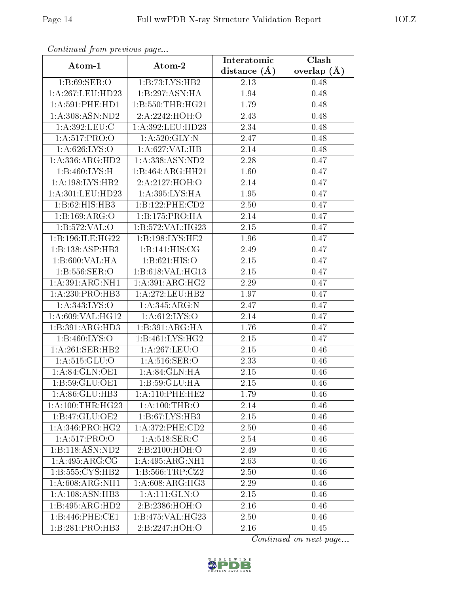| Communica from precious page |                               | Interatomic    | Clash         |
|------------------------------|-------------------------------|----------------|---------------|
| Atom-1                       | Atom-2                        | distance $(A)$ | overlap $(A)$ |
| 1: B:69: SER:O               | 1:B:73:LYS:HB2                | 2.13           | 0.48          |
| 1:A:267:LEU:HD23             | 1:B:297:ASN:HA                | 1.94           | 0.48          |
| 1: A:591: PHE: HD1           | 1: B: 550: THR: HG21          | 1.79           | 0.48          |
| 1: A:308: ASN:ND2            | 2:A:2242:HOH:O                | 2.43           | 0.48          |
| 1:A:392:LEU:C                | 1:A:392:LEU:HD23              | 2.34           | 0.48          |
| 1:A:517:PRO:O                | 1: A:520: GLY:N               | 2.47           | 0.48          |
| 1: A:626: LYS:O              | 1:A:627:VAL:HB                | 2.14           | 0.48          |
| 1: A: 336: ARG: HD2          | 1:A:338:ASN:ND2               | 2.28           | 0.47          |
| 1:B:460:LYS:H                | $1:B:464:\overline{ARG:HH21}$ | 1.60           | 0.47          |
| 1:A:198:LYS:HB2              | 2:A:2127:HOH:O                | 2.14           | 0.47          |
| 1:A:301:LEU:HD23             | 1:A:395:LYS:HA                | 1.95           | 0.47          |
| 1:B:62:HIS:HB3               | 1:B:122:PHE:CD2               | 2.50           | 0.47          |
| 1:B:169:ARG:O                | 1:B:175:PRO:HA                | 2.14           | 0.47          |
| 1:B:572:VAL:O                | 1:B:572:VAL:HG23              | 2.15           | 0.47          |
| 1:B:196:ILE:HG22             | 1:B:198:LYS:HE2               | 1.96           | 0.47          |
| 1:B:138:ASP:HB3              | 1:B:141:HIS:CG                | 2.49           | 0.47          |
| 1:B:600:VAL:HA               | 1:B:621:HIS:O                 | 2.15           | 0.47          |
| 1:B:556:SER:O                | 1:B:618:VAL:HG13              | 2.15           | 0.47          |
| 1:A:391:ARG:NH1              | 1: A:391:ARG:HG2              | 2.29           | 0.47          |
| 1: A:230: PRO:HB3            | 1:A:272:LEU:HB2               | 1.97           | 0.47          |
| 1: A: 343: LYS: O            | 1:A:345:ARG:N                 | 2.47           | 0.47          |
| 1:A:609:VAL:HG12             | 1: A:612: LYS:O               | 2.14           | 0.47          |
| 1:B:391:ARG:HD3              | 1:B:391:ARG:HA                | 1.76           | 0.47          |
| 1: B:460: LYS:O              | 1:B:461:LYS:HG2               | $2.15\,$       | 0.47          |
| 1: A:261:SER:HB2             | 1:A:267:LEU:O                 | 2.15           | 0.46          |
| 1: A: 515: GLU:O             | 1: A:516: SER:O               | 2.33           | 0.46          |
| 1:A:84:GLN:OE1               | 1: A:84: GLN:HA               | 2.15           | 0.46          |
| 1:B:59:GLU:OE1               | 1:B:59:GLU:HA                 | 2.15           | 0.46          |
| 1:A:86:GLU:HB3               | 1:A:110:PHE:HE2               | 1.79           | 0.46          |
| 1: A:100:THR:HG23            | 1:A:100:THR:O                 | 2.14           | 0.46          |
| 1:B:47:GLU:OE2               | 1:B:67:LYS:HB3                | 2.15           | 0.46          |
| 1: A:346: PRO:HG2            | $1: A:372:$ PHE: $CD2$        | 2.50           | 0.46          |
| 1:A:517:PRO:O                | $1: A:518:$ SER:C             | 2.54           | 0.46          |
| 1:B:118:ASN:ND2              | 2:B:2100:HOH:O                | 2.49           | 0.46          |
| 1: A:495: ARG: CG            | 1:A:495:ARG:NH1               | 2.63           | 0.46          |
| 1:B:555:CYS:HB2              | 1: B:566:TRP: CZ2             | 2.50           | 0.46          |
| 1: A:608: ARG: NH1           | 1: A:608: ARG:HG3             | 2.29           | 0.46          |
| $1:A:108:\overline{ASN:HB3}$ | 1: A: 111: GLN: O             | 2.15           | 0.46          |
| 1:B:495:ARG:HD2              | 2:B:2386:HOH:O                | 2.16           | 0.46          |
| 1:B:446:PHE:CE1              | 1:B:475:VAL:HG23              | 2.50           | 0.46          |
| 1:B:281:PRO:HB3              | 2:B:2247:HOH:O                | $2.16\,$       | 0.45          |

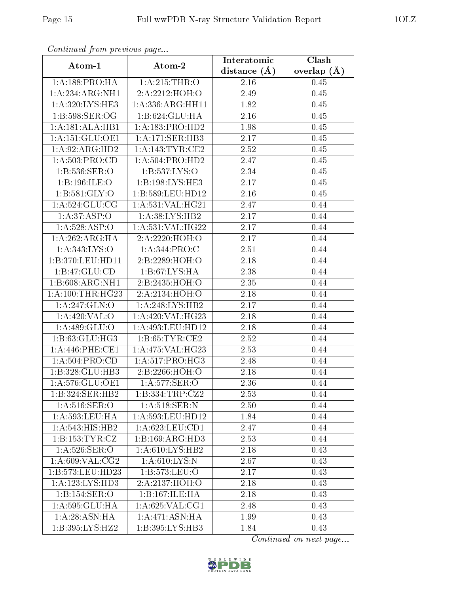| Continued from previous page    |                             | Interatomic       | Clash         |
|---------------------------------|-----------------------------|-------------------|---------------|
| Atom-1                          | Atom-2                      | distance $(\AA)$  | overlap $(A)$ |
| 1:A:188:PRO:HA<br>1:A:215:THR:O |                             | 2.16              | 0.45          |
| 1:A:234:ARG:NH1                 | 2:A:2212:HOH:O              | 2.49              | $0.45\,$      |
| 1: A:320: LYS: HE3              | 1: A: 336: ARG: HH11        | 1.82              | 0.45          |
| 1: B:598: SER:OG                | 1:B:624:GLU:HA              | 2.16              | 0.45          |
| 1:A:181:ALA:HB1                 | 1: A: 183: PRO: HD2         | 1.98              | 0.45          |
| 1: A:151: GLU:OE1               | 1:A:171:SER:HB3             | 2.17              | $0.45\,$      |
| $1:A:92:ARG:\overline{HD2}$     | 1: A:143:TYR:CE2            | $\overline{2.52}$ | 0.45          |
| 1:A:503:PRO:CD                  | 1: A:504:PRO:HD2            | 2.47              | 0.45          |
| 1: B: 536: SER: O               | 1:B:537:LYS:O               | $\overline{2}.34$ | 0.45          |
| 1:B:196:ILE:O                   | 1:B:198:LYS:HE3             | 2.17              | 0.45          |
| 1: B:581: GLY:O                 | 1:B:589:LEU:HD12            | 2.16              | 0.45          |
| 1: A:524: GLU:CG                | 1:A:531:VAL:HG21            | 2.47              | 0.44          |
| 1:A:37:ASP:O                    | 1:A:38:LYS:HB2              | 2.17              | 0.44          |
| 1: A:528: ASP:O                 | 1:A:531:VAL:HG22            | 2.17              | 0.44          |
| 1: A:262:ARG:HA                 | 2:A:2220:HOH:O              | 2.17              | 0.44          |
| 1:A:343:LYS:O                   | 1: A:344: PRO:C             | 2.51              | 0.44          |
| 1:B:370:LEU:HD11                | 2:B:2289:HOH:O              | 2.18              | 0.44          |
| 1:B:47:GLU:CD                   | 1:B:67:LYS:HA               | 2.38              | 0.44          |
| 1:B:608:ARG:NH1                 | $2:B:2435:\overline{HOH:O}$ | 2.35              | 0.44          |
| 1:A:100:THR:HG23                | 2:A:2134:HOH:O              | 2.18              | 0.44          |
| 1:A:247:GLN:O                   | 1:A:248:LYS:HB2             | 2.17              | 0.44          |
| 1:A:420:VAL:O                   | 1:A:420:VAL:HG23            | 2.18              | 0.44          |
| 1:A:489:GLU:O                   | 1:A:493:LEU:HD12            | 2.18              | 0.44          |
| 1:B:63:GLU:HG3                  | 1: B: 65: TYR: CE2          | 2.52              | 0.44          |
| 1: A:446: PHE:CE1               | 1:A:475:VAL:HG23            | 2.53              | 0.44          |
| 1: A:504:PRO:CD                 | 1:A:517:PRO:H <sub>G3</sub> | 2.48              | 0.44          |
| 1:B:328:GLU:HB3                 | 2:B:2266:HOH:O              | $2.18\,$          | 0.44          |
| 1: A:576: GLU:OE1               | 1:A:577:SER:O               | 2.36              | 0.44          |
| 1:B:324:SER:HB2                 | 1:B:334:TRP:CZ2             | 2.53              | 0.44          |
| 1: A:516: SER:O                 | 1: A:518: SER: N            | 2.50              | 0.44          |
| 1: A: 593: LEU: HA              | 1: A: 593: LEU: HD12        | 1.84              | 0.44          |
| 1: A:543:HIS:HB2                | 1: A:623:LEU:CD1            | 2.47              | 0.44          |
| 1: B: 153: TYR: CZ              | 1:B:169:ARG:HD3             | 2.53              | 0.44          |
| 1: A:526: SER:O                 | 1: A:610: LYS: HB2          | 2.18              | 0.43          |
| 1: A:609: VAL: CG2              | 1: A:610: LYS:N             | 2.67              | 0.43          |
| 1:B:573:LEU:HD23                | 1:B:573:LEU:O               | 2.17              | 0.43          |
| 1: A: 123: LYS: HD3             | 2:A:2137:HOH:O              | 2.18              | 0.43          |
| 1:B:154:SER:O                   | 1:B:167:ILE:HA              | 2.18              | 0.43          |
| 1:A:595:GLU:HA                  | 1: A:625: VAL:CG1           | 2.48              | 0.43          |
| 1: A:28: ASN: HA                | 1:A:471:ASN:HA              | 1.99              | 0.43          |
| 1:B:395:LYS:HZ2                 | 1:B:395:LYS:HB3             | 1.84              | 0.43          |

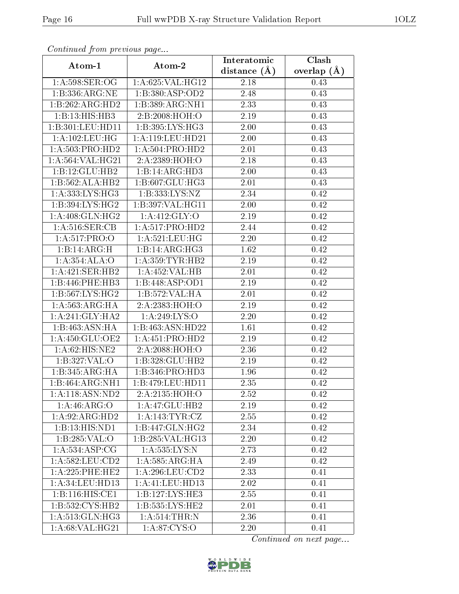| Continuea from previous page |                              | Interatomic    | Clash         |  |
|------------------------------|------------------------------|----------------|---------------|--|
| Atom-1                       | Atom-2                       | distance $(A)$ | overlap $(A)$ |  |
| 1:A:598:SER:OG               | 1:A:625:VAL:HG12             | 2.18           | 0.43          |  |
| 1:B:336:ARG:NE               | 1:B:380:ASP:OD2              | 2.48           | 0.43          |  |
| 1:B:262:ARG:HD2              | 1:B:389:ARG:NH1              | 2.33           | 0.43          |  |
| 1:B:13:HIS:HB3               | 2:B:2008:HOH:O               | 2.19           | 0.43          |  |
| 1:B:301:LEU:HD11             | 1: B:395: LYS: HG3           | 2.00           | 0.43          |  |
| 1:A:102:LEU:HG               | 1:A:119:LEU:HD21             | 2.00           | 0.43          |  |
| 1:A:503:PRO:HD2              | 1: A:504:PRO:HD2             | $2.01\,$       | 0.43          |  |
| 1: A: 564: VAL: HG21         | 2:A:2389:HOH:O               | 2.18           | 0.43          |  |
| 1:B:12:GLU:HB2               | 1:B:14:ARG:HD3               | $2.00\,$       | 0.43          |  |
| 1:B:562:ALA:HB2              | 1:B:607:GLU:HG3              | 2.01           | 0.43          |  |
| 1: A: 333: LYS: HG3          | 1:B:333:LYS:NZ               | 2.34           | 0.42          |  |
| 1:B:394:LYS:HG2              | 1:B:397:VAL:HG11             | 2.00           | 0.42          |  |
| 1:A:408:GLN:HG2              | 1: A:412: GLY:O              | 2.19           | 0.42          |  |
| 1: A:516: SER: CB            | 1: A:517: PRO:HD2            | 2.44           | 0.42          |  |
| 1:A:517:PRO:O                | 1: A:521:LEU:HG              | 2.20           | 0.42          |  |
| 1:B:14:ARG:H                 | 1:B:14:ARG:HG3               | 1.62           | 0.42          |  |
| 1:A:354:ALA:O                | 1: A: 359: TYR: HB2          | 2.19           | 0.42          |  |
| 1:A:421:SER:HB2              | 1:A:452:VAL:HB               | $2.01\,$       | 0.42          |  |
| 1:B:446:PHE:HB3              | 1:B:448:ASP:OD1              | 2.19           | 0.42          |  |
| 1: B:567: LYS: HG2           | $1:B:572:VAL: \overline{HA}$ | 2.01           | 0.42          |  |
| 1: A: 563: ARG: HA           | 2:A:2383:HOH:O               | 2.19           | 0.42          |  |
| 1: A:241: GLY:HA2            | 1: A:249: LYS:O              | 2.20           | 0.42          |  |
| 1:B:463:ASN:HA               | 1:B:463:ASN:HD22             | 1.61           | 0.42          |  |
| 1: A:450: GLU:OE2            | 1: A: 451: PRO: HD2          | 2.19           | 0.42          |  |
| 1: A:62: HIS: NE2            | 2:A:2088:HOH:O               | 2.36           | 0.42          |  |
| 1:B:327:VAL:O                | 1:B:328:GLU:HB2              | 2.19           | 0.42          |  |
| 1:B:345:ARG:HA               | 1:B:346:PRO:HD3              | 1.96           | 0.42          |  |
| 1:B:464:ARG:NH1              | 1:B:479:LEU:HDI1             | 2.35           | 0.42          |  |
| 1:A:118:ASN:ND2              | 2:A:2135:HOH:O               | 2.52           | 0.42          |  |
| 1: A:46: ARG:O               | 1:A:47:GLU:HB2               | 2.19           | 0.42          |  |
| 1: A:92: ARG:HD2             | 1:A:143:TYR:CZ               | 2.55           | 0.42          |  |
| 1:B:13:HIS:ND1               | 1:B:447:GLN:HG2              | 2.34           | 0.42          |  |
| 1:B:285:VAL:O                | 1:B:285:VAL:H <sub>G13</sub> | 2.20           | 0.42          |  |
| 1: A: 534: ASP: CG           | 1:A:535:LYS:N                | 2.73           | 0.42          |  |
| 1: A:582:LEU:CD2             | 1:A:585:ARG:HA               | 2.49           | 0.42          |  |
| 1:A:225:PHE:HE2              | 1: A:296:LEU:CD2             | 2.33           | 0.41          |  |
| 1: A:34:LEU:HD13             | 1:A:41:LEU:HD13              | 2.02           | 0.41          |  |
| 1:B:116:HIS:CE1              | 1:B:127:LYS:HE3              | 2.55           | 0.41          |  |
| 1:B:532:CYS:HB2              | 1:B:535:LYS:HE2              | 2.01           | 0.41          |  |
| 1: A:513: GLN: HG3           | 1: A:514:THR:N               | 2.36           | 0.41          |  |
| 1:A:68:VAL:HG21              | 1: A:87: CYS:O               | 2.20           | 0.41          |  |

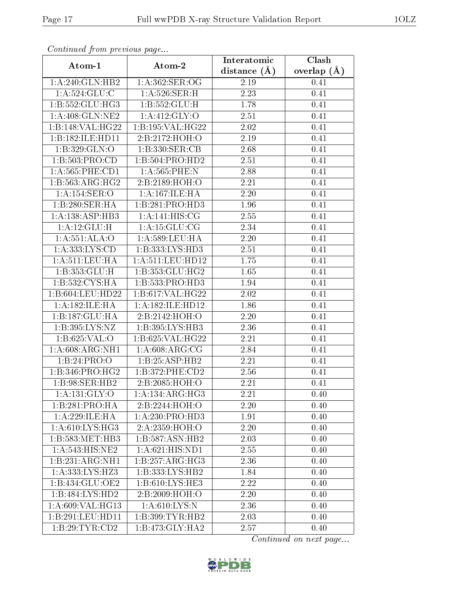| Continuou jiom protivus pugo |                              | Interatomic      | Clash         |  |
|------------------------------|------------------------------|------------------|---------------|--|
| Atom-1                       | Atom-2                       | distance $(\AA)$ | overlap $(A)$ |  |
| 1:A:240:GLN:HB2              | 1:A:362:SER:OG               | 2.19             | 0.41          |  |
| 1:A:524:GLU:C                | 1: A:526: SER:H              | 2.23             | 0.41          |  |
| 1:B:552:GLU:HG3              | 1:B:552:GLU:H                | 1.78             | 0.41          |  |
| 1:A:408:GLN:NE2              | 1: A:412: GLY:O              | 2.51             | 0.41          |  |
| 1:B:148:VAL:HG22             | 1:B:195:VAL:HG22             | 2.02             | 0.41          |  |
| 1:B:182:ILE:HD11             | 2:B:2172:HOH:O               | 2.19             | 0.41          |  |
| 1:B:329:GLN:O                | 1:B:330:SER:CB               | 2.68             | 0.41          |  |
| 1: B: 503: PRO:CD            | 1:B:504:PRO:HD2              | 2.51             | 0.41          |  |
| 1: A: 565: PHE: CD1          | 1:A:565:PHE:N                | 2.88             | 0.41          |  |
| 1:B:563:ARG:HG2              | 2:B:2189:HOH:O               | 2.21             | 0.41          |  |
| 1:A:154:SER:O                | 1:A:167:ILE:HA               | 2.20             | 0.41          |  |
| 1:B:280:SER:HA               | 1:B:281:PRO:HD3              | 1.96             | 0.41          |  |
| 1:A:138:ASP:HB3              | $1:A:141:HIS:\overline{CG}$  | 2.55             | 0.41          |  |
| 1: A:12: GLU:H               | 1: A: 15: GLU: CG            | 2.34             | 0.41          |  |
| 1:A:551:ALA:O                | 1:A:589:LEU:HA               | 2.20             | 0.41          |  |
| 1:A:333:LYS:CD               | 1:B:333:LYS:HD3              | 2.51             | 0.41          |  |
| 1: A:511:LEU:HA              | 1: A: 511: LEU: HD12         | 1.75             | 0.41          |  |
| 1:B:353:GLU:H                | 1:B:353:GLU:HG2              | 1.65             | 0.41          |  |
| 1:B:532:CYS:HA               | 1:B:533:PRO:HD3              | 1.94             | 0.41          |  |
| 1:B:604:LEU:HD22             | 1:B:617:VAL:HG22             | 2.02             | 0.41          |  |
| 1: A: 182: ILE: HA           | 1:A:182:ILE:HD12             | 1.86             | 0.41          |  |
| 1:B:187:GLU:HA               | 2:B:2142:HOH:O               | 2.20             | 0.41          |  |
| 1:B:395:LYS:NZ               | 1:B:395:LYS:HB3              | 2.36             | 0.41          |  |
| 1: B:625: VAL:O              | 1:B:625:VAL:HG22             | 2.21             | 0.41          |  |
| 1: A:608: ARG: NH1           | 1: A:608: ARG: CG            | 2.84             | 0.41          |  |
| 1:B:24:PRO:O                 | 1:B:25:ASP:HB2               | 2.21             | 0.41          |  |
| 1:B:346:PRO:HG2              | 1: B:372: PHE:CD2            | 2.56             | 0.41          |  |
| 1:B:98:SER:HB2               | 2:B:2085:HOH:O               | 2.21             | 0.41          |  |
| 1:A:131:GLY:O                | $1:A:134:ARG:H\overline{G3}$ | 2.21             | 0.40          |  |
| $1:B:281:PRO:H\overline{A}$  | 2:B:2244:HOH:O               | 2.20             | 0.40          |  |
| 1:A:229:ILE:HA               | 1: A:230:PRO:HD3             | 1.91             | 0.40          |  |
| 1: A:610: LYS: HG3           | 2:A:2359:HOH:O               | 2.20             | 0.40          |  |
| 1:B:583:MET:HB3              | 1:B:587:ASN:HB2              | 2.03             | 0.40          |  |
| 1:A:543:HIS:NE2              | 1:A:621:HIS:ND1              | 2.55             | 0.40          |  |
| 1:B:231:ARG:NH1              | 1:B:257:ARG:HG3              | 2.36             | 0.40          |  |
| 1: A: 333: LYS: HZ3          | 1:B:333:LYS:HB2              | 1.84             | 0.40          |  |
| 1:B:434:GLU:OE2              | 1: B:610: LYS: HE3           | 2.22             | 0.40          |  |
| 1:B:484:LYS:HD2              | 2:B:2009:HOH:O               | 2.20             | 0.40          |  |
| 1:A:609:VAL:HG13             | 1: A:610:LYS:N               | 2.36             | 0.40          |  |
| 1:B:291:LEU:HD11             | 1:B:399:TYR:HB2              | 2.03             | 0.40          |  |
| 1:B:29:TYR:CD2               | 1:B:473:GLY:HA2              | 2.57             | 0.40          |  |

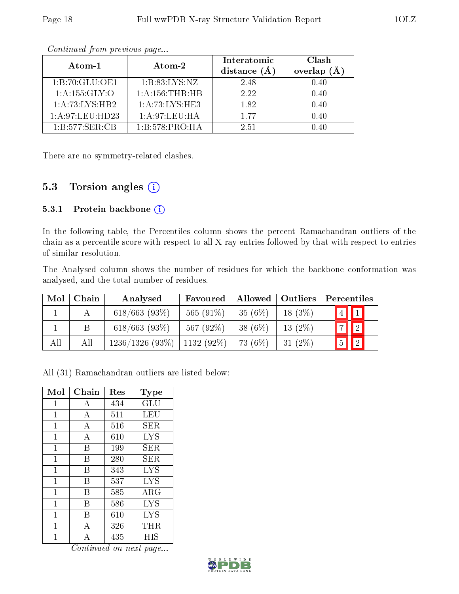| Atom-1            | Atom-2             | Interatomic<br>distance $(A)$ | Clash<br>overlap<br>(A) |
|-------------------|--------------------|-------------------------------|-------------------------|
| 1:B:70:GLU:OE1    | 1: B: 83: LYS: NZ  | 2.48                          | 0.40                    |
| 1: A: 155: GLY: O | 1: A: 156: THR: HB | 2.22                          | 0.40                    |
| 1:A:73:LYS:HB2    | 1:A:73:LYS:HE3     | 1.82                          | 0.40                    |
| 1: A:97:LEU:HD23  | 1:A:97:LEU:HA      | 177                           | 0.40                    |
| 1:B:577:SER:CB    | 1:B:578:PRO:HA     | 2.51                          |                         |

There are no symmetry-related clashes.

### 5.3 Torsion angles (i)

#### 5.3.1 Protein backbone (i)

In the following table, the Percentiles column shows the percent Ramachandran outliers of the chain as a percentile score with respect to all X-ray entries followed by that with respect to entries of similar resolution.

The Analysed column shows the number of residues for which the backbone conformation was analysed, and the total number of residues.

| Mol | Chain | Analysed         | Favoured     |            | Allowed   Outliers | Percentiles           |                 |
|-----|-------|------------------|--------------|------------|--------------------|-----------------------|-----------------|
|     |       | $618/663$ (93\%) | 565 $(91\%)$ | 35(6%)     | $18(3\%)$          | $\vert 4 \vert \vert$ |                 |
|     |       | $618/663$ (93%)  | 567 (92%)    | 38 $(6\%)$ | $13(2\%)$          |                       | $\sqrt{2}$      |
| All | Αll   | 1236/1326(93%)   | $1132(92\%)$ | 73 (6\%)   | 31 $(2\%)$         | $\boxed{5}$           | $\vert \vert$ 2 |

All (31) Ramachandran outliers are listed below:

| Mol            | Chain          | Res | $_{\rm Type}$ |
|----------------|----------------|-----|---------------|
| 1              | А              | 434 | GLU           |
| $\mathbf{1}$   | A              | 511 | LEU           |
| $\mathbf{1}$   | А              | 516 | SER.          |
| 1              | $\overline{A}$ | 610 | <b>LYS</b>    |
| $\mathbf{1}$   | B              | 199 | SER.          |
| $\mathbf{1}$   | B              | 280 | SER           |
| $\mathbf{1}$   | В              | 343 | <b>LYS</b>    |
| $\mathbf{1}$   | В              | 537 | <b>LYS</b>    |
| 1              | В              | 585 | ARG           |
| $\mathbf{1}$   | В              | 586 | <b>LYS</b>    |
| $\overline{1}$ | В              | 610 | <b>LYS</b>    |
| 1              | A              | 326 | $\rm THR$     |
| 1              | A              | 435 | HIS           |

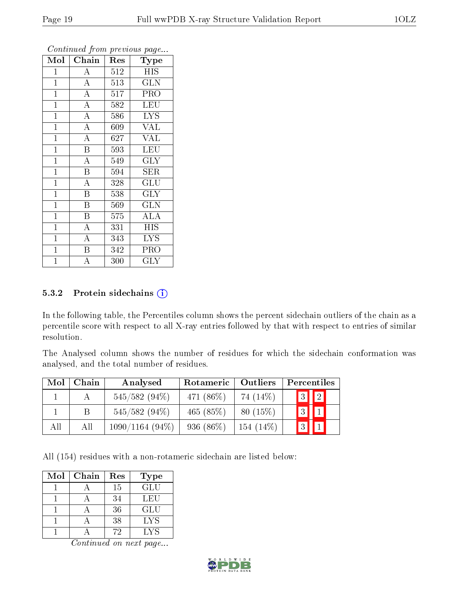| Mol            | Chain                   | Res              | <b>Type</b>               |
|----------------|-------------------------|------------------|---------------------------|
| $\mathbf{1}$   | A                       | 512              | <b>HIS</b>                |
| $\mathbf{1}$   | $\mathbf A$             | 513              | <b>GLN</b>                |
| $\mathbf{1}$   | $\overline{A}$          | $\overline{5}17$ | PRO                       |
| $\mathbf{1}$   | $\overline{\rm A}$      | 582              | <b>LEU</b>                |
| $\overline{1}$ | $\overline{\rm A}$      | 586              | $\overline{\text{LYS}}$   |
| $\mathbf{1}$   | $\overline{A}$          | 609              | <b>VAL</b>                |
| $\overline{1}$ | $\overline{\rm A}$      | 627              | <b>VAL</b>                |
| $\overline{1}$ | $\overline{\mathbf{B}}$ | 593              | <b>LEU</b>                |
| $\mathbf{1}$   | $\overline{\rm A}$      | 549              | <b>GLY</b>                |
| $\mathbf{1}$   | $\overline{\mathrm{B}}$ | 594              | <b>SER</b>                |
| $\mathbf{1}$   | $\overline{\rm A}$      | 328              | $\overline{\mathrm{GLU}}$ |
| $\mathbf{1}$   | $\overline{\mathrm{B}}$ | 538              | $\overline{\text{GLY}}$   |
| $\mathbf{1}$   | $\overline{B}$          | 569              | <b>GLN</b>                |
| $\mathbf{1}$   | $\boldsymbol{B}$        | 575              | ALA                       |
| $\overline{1}$ | $\overline{\rm A}$      | 331              | <b>HIS</b>                |
| $\mathbf{1}$   | $\overline{\rm A}$      | 343              | <b>LYS</b>                |
| $\mathbf{1}$   | $\overline{\mathrm{B}}$ | 342              | PRO                       |
| $\mathbf 1$    | А                       | 300              | $\rm GLY$                 |

#### 5.3.2 Protein sidechains  $(i)$

In the following table, the Percentiles column shows the percent sidechain outliers of the chain as a percentile score with respect to all X-ray entries followed by that with respect to entries of similar resolution.

The Analysed column shows the number of residues for which the sidechain conformation was analysed, and the total number of residues.

| Mol | Chain       | Analysed          | Rotameric    | Outliers   | Percentiles       |
|-----|-------------|-------------------|--------------|------------|-------------------|
|     |             | $545/582(94\%)$   | 471 (86\%)   | 74 (14\%)  | $\boxed{2}$<br> 3 |
|     | $\mathsf B$ | $545/582(94\%)$   | 465 $(85%)$  | $80(15\%)$ |                   |
| All | All         | $1090/1164(94\%)$ | 936 $(86\%)$ | 154 (14\%) |                   |

All (154) residues with a non-rotameric sidechain are listed below:

| Mol | Chain | Res | <b>Type</b> |
|-----|-------|-----|-------------|
|     |       | 15  | GLU         |
|     |       | 34  | LEU         |
|     |       | 36  | GLU         |
|     |       | 38  | <b>LYS</b>  |
|     |       | 72  | LYS         |

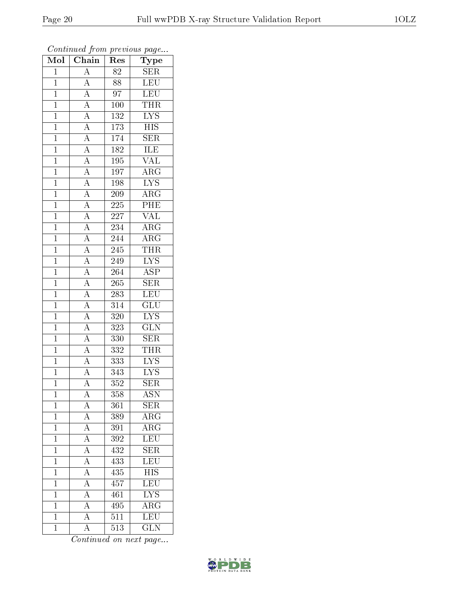| Mol            | $\overline{\text{Chain}}$                                                                                                                                                                                                         | Res              | $\overline{\phantom{a}}$<br>Type |
|----------------|-----------------------------------------------------------------------------------------------------------------------------------------------------------------------------------------------------------------------------------|------------------|----------------------------------|
| $\mathbf{1}$   | $\overline{A}$                                                                                                                                                                                                                    | 82               | <b>SER</b>                       |
| $\overline{1}$ | $\overline{A}$                                                                                                                                                                                                                    | 88               | LEU                              |
| $\overline{1}$ |                                                                                                                                                                                                                                   | $\overline{97}$  | LEU                              |
| $\overline{1}$ |                                                                                                                                                                                                                                   | 100              | <b>THR</b>                       |
| $\overline{1}$ |                                                                                                                                                                                                                                   | <sup>132</sup>   | $\overline{\text{LYS}}$          |
| $\mathbf{1}$   |                                                                                                                                                                                                                                   | 173              | $\overline{HIS}$                 |
| $\mathbf{1}$   |                                                                                                                                                                                                                                   | 174              | $\overline{\text{SER}}$          |
| $\overline{1}$ |                                                                                                                                                                                                                                   | 182              | <b>ILE</b>                       |
| $\overline{1}$ |                                                                                                                                                                                                                                   | 195              | <b>VAL</b>                       |
| $\overline{1}$ |                                                                                                                                                                                                                                   | $\overline{197}$ | $\overline{\text{ARG}}$          |
| $\mathbf{1}$   |                                                                                                                                                                                                                                   | 198              | $\overline{\text{LYS}}$          |
| $\overline{1}$ |                                                                                                                                                                                                                                   | 209              | $\overline{\text{ARG}}$          |
| $\overline{1}$ |                                                                                                                                                                                                                                   | $\overline{225}$ | PHE                              |
| $\overline{1}$ | $\frac{\boxed{A}}{\boxed{A}} \frac{\boxed{A}}{\boxed{A}} \frac{\boxed{A}}{\boxed{A}} \frac{\boxed{A}}{\boxed{A}} \frac{\boxed{A}}{\boxed{A}} \frac{\boxed{A}}{\boxed{A}} \frac{\boxed{A}}{\boxed{A}} \frac{\boxed{A}}{\boxed{A}}$ | 227              | $\overline{\text{VAL}}$          |
| $\overline{1}$ |                                                                                                                                                                                                                                   | 234              | $\overline{\text{ARG}}$          |
| $\mathbf{1}$   |                                                                                                                                                                                                                                   | 244              | $\overline{\text{ARG}}$          |
| $\overline{1}$ |                                                                                                                                                                                                                                   | 245              | <b>THR</b>                       |
| $\mathbf{1}$   |                                                                                                                                                                                                                                   | 249              | IYS                              |
| $\overline{1}$ |                                                                                                                                                                                                                                   | 264              | $\overline{\text{ASP}}$          |
| $\overline{1}$ |                                                                                                                                                                                                                                   | $265\,$          | $\overline{\text{SER}}$          |
| $\overline{1}$ |                                                                                                                                                                                                                                   | 283              | LEU                              |
| $\overline{1}$ | $\frac{\overline{A}}{\overline{A}}$ $\frac{\overline{A}}{\overline{A}}$ $\frac{\overline{A}}{\overline{A}}$                                                                                                                       | 314              | $\overline{{\rm GLU}}$           |
| $\overline{1}$ |                                                                                                                                                                                                                                   | 320              | $\overline{\text{LYS}}$          |
| $\overline{1}$ |                                                                                                                                                                                                                                   | 323              | $\overline{\text{GLN}}$          |
| $\mathbf{1}$   |                                                                                                                                                                                                                                   | 330              | $\overline{\text{SER}}$          |
| $\mathbf{1}$   |                                                                                                                                                                                                                                   | 332              | <b>THR</b>                       |
| $\mathbf{1}$   |                                                                                                                                                                                                                                   | 333              | $\overline{\text{LYS}}$          |
| $\overline{1}$ |                                                                                                                                                                                                                                   | 343              | $\overline{LYS}$                 |
| $\overline{1}$ | $\overline{A}$                                                                                                                                                                                                                    | $\overline{352}$ | $\overline{\text{SER}}$          |
| 1              | $\mathbf{A}$                                                                                                                                                                                                                      | 358              | <b>ASN</b>                       |
| $\mathbf 1$    | $\overline{A}$                                                                                                                                                                                                                    | 361              | <b>SER</b>                       |
| $\mathbf 1$    | $\frac{\overline{A}}{\overline{A}}$                                                                                                                                                                                               | 389              | $\overline{\rm{ARG}}$            |
| $\mathbf{1}$   |                                                                                                                                                                                                                                   | 391              | $\rm{ARG}$                       |
| $\overline{1}$ | $\frac{\overline{A}}{\overline{A}}$ $\frac{\overline{A}}{\overline{A}}$                                                                                                                                                           | 392              | $\overline{\text{LEU}}$          |
| $\mathbf{1}$   |                                                                                                                                                                                                                                   | 432              | <b>SER</b>                       |
| $\mathbf 1$    |                                                                                                                                                                                                                                   | 433              | LEU                              |
| $\mathbf 1$    |                                                                                                                                                                                                                                   | 435              | $\overline{HIS}$                 |
| $\overline{1}$ | $\overline{A}$                                                                                                                                                                                                                    | 457              | $\overline{\text{LEU}}$          |
| $\mathbf{1}$   | $\overline{A}$                                                                                                                                                                                                                    | 461              | $\overline{\text{LYS}}$          |
| $\mathbf 1$    | $\overline{A}$                                                                                                                                                                                                                    | 495              | $\overline{\rm{ARG}}$            |
| $\mathbf{1}$   | $\overline{A}$                                                                                                                                                                                                                    | 511              | LEU                              |
| $\mathbf 1$    | $\overline{\rm A}$                                                                                                                                                                                                                | $\overline{5}13$ | $\overline{\text{GLN}}$          |

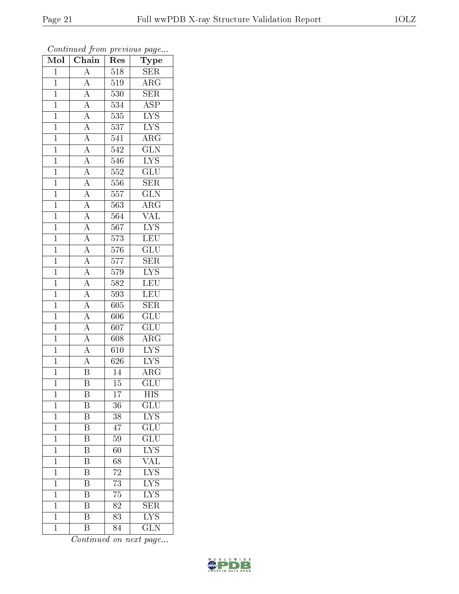| Mol            | $\overline{\text{Chain}}$                                                                                                                                                                                                                                                                                                                                                                                                                                   | Res              | $\mathbf{r}$ - $\mathbf{v}$<br>Type |
|----------------|-------------------------------------------------------------------------------------------------------------------------------------------------------------------------------------------------------------------------------------------------------------------------------------------------------------------------------------------------------------------------------------------------------------------------------------------------------------|------------------|-------------------------------------|
| $\mathbf{1}$   | $\overline{A}$                                                                                                                                                                                                                                                                                                                                                                                                                                              | 518              | SER                                 |
| $\mathbf{1}$   |                                                                                                                                                                                                                                                                                                                                                                                                                                                             | 519              | $\overline{\rm{ARG}}$               |
| $\overline{1}$ |                                                                                                                                                                                                                                                                                                                                                                                                                                                             | $\overline{530}$ | $\overline{\text{SER}}$             |
| $\mathbf{1}$   |                                                                                                                                                                                                                                                                                                                                                                                                                                                             | 534              | $\overline{\text{ASP}}$             |
| $\overline{1}$ |                                                                                                                                                                                                                                                                                                                                                                                                                                                             | 535              | $\overline{\text{LYS}}$             |
| $\overline{1}$ |                                                                                                                                                                                                                                                                                                                                                                                                                                                             | 537              | $\overline{\text{LYS}}$             |
| $\overline{1}$ |                                                                                                                                                                                                                                                                                                                                                                                                                                                             | 541              | $\overline{\rm{ARG}}$               |
| $\overline{1}$ |                                                                                                                                                                                                                                                                                                                                                                                                                                                             | $\overline{542}$ | $\overline{\text{GLN}}$             |
| $\overline{1}$ |                                                                                                                                                                                                                                                                                                                                                                                                                                                             | 546              | $\overline{\text{LYS}}$             |
| $\overline{1}$ |                                                                                                                                                                                                                                                                                                                                                                                                                                                             | $\overline{552}$ | $\overline{{\rm GLU}}$              |
| $\mathbf{1}$   |                                                                                                                                                                                                                                                                                                                                                                                                                                                             | 556              | <b>SER</b>                          |
| $\overline{1}$ |                                                                                                                                                                                                                                                                                                                                                                                                                                                             | 557              | $\overline{\text{GLN}}$             |
| $\overline{1}$ |                                                                                                                                                                                                                                                                                                                                                                                                                                                             | 563              | $\rm{ARG}$                          |
| $\overline{1}$ | $\frac{\overline{A}}{\overline{A}} \frac{\overline{A}}{\overline{A}} \frac{\overline{A}}{\overline{A}} \frac{\overline{A}}{\overline{A}} \frac{\overline{A}}{\overline{A}} \frac{\overline{A}}{\overline{A}} \frac{\overline{A}}{\overline{A}} \frac{\overline{A}}{\overline{A}} \frac{\overline{A}}{\overline{A}} \frac{\overline{A}}{\overline{A}} \frac{\overline{A}}{\overline{A}} \frac{\overline{A}}{\overline{A}} \frac{\overline{A}}{\overline{A}}$ | 564              | $\overline{\text{VAL}}$             |
| $\overline{1}$ |                                                                                                                                                                                                                                                                                                                                                                                                                                                             | 567              | $\overline{\text{LYS}}$             |
| $\mathbf{1}$   |                                                                                                                                                                                                                                                                                                                                                                                                                                                             | $\overline{5}73$ | $\overline{\text{LEU}}$             |
| $\overline{1}$ |                                                                                                                                                                                                                                                                                                                                                                                                                                                             | 576              | $\overline{{\rm GLU}}$              |
| $\overline{1}$ |                                                                                                                                                                                                                                                                                                                                                                                                                                                             | $\overline{5}77$ | <b>SER</b>                          |
| $\overline{1}$ |                                                                                                                                                                                                                                                                                                                                                                                                                                                             | $579\,$          | $\overline{\text{LYS}}$             |
| $\overline{1}$ |                                                                                                                                                                                                                                                                                                                                                                                                                                                             | 582              | $\overline{\text{LEU}}$             |
| $\mathbf{1}$   |                                                                                                                                                                                                                                                                                                                                                                                                                                                             | 593              | LEU                                 |
| $\overline{1}$ |                                                                                                                                                                                                                                                                                                                                                                                                                                                             | $\overline{60}5$ | $\overline{\text{SER}}$             |
| $\mathbf{1}$   |                                                                                                                                                                                                                                                                                                                                                                                                                                                             | 606              | $\overline{\text{GLU}}$             |
| $\overline{1}$ |                                                                                                                                                                                                                                                                                                                                                                                                                                                             | $\overline{607}$ | $\overline{\text{GLU}}$             |
| $\overline{1}$ | $\frac{\overline{A}}{\overline{A}}$ $\frac{\overline{A}}{\overline{B}}$                                                                                                                                                                                                                                                                                                                                                                                     | 608              | $\rm{ARG}$                          |
| $\mathbf{1}$   |                                                                                                                                                                                                                                                                                                                                                                                                                                                             | 610              | $\overline{\text{LYS}}$             |
| $\overline{1}$ |                                                                                                                                                                                                                                                                                                                                                                                                                                                             | 626              | $\overline{\text{LYS}}$             |
| $\overline{1}$ |                                                                                                                                                                                                                                                                                                                                                                                                                                                             | 14               | $\rm{ARG}$                          |
| $\overline{1}$ | $\overline{\mathrm{B}}$                                                                                                                                                                                                                                                                                                                                                                                                                                     | $\overline{15}$  | $\overline{{\rm GLU}}$              |
| $\mathbf 1$    | Β                                                                                                                                                                                                                                                                                                                                                                                                                                                           | $17\,$           | HIS                                 |
| $\mathbf 1$    | B                                                                                                                                                                                                                                                                                                                                                                                                                                                           | 36               | $\overline{\text{GLU}}$             |
| $\mathbf{1}$   | $\overline{\mathrm{B}}$                                                                                                                                                                                                                                                                                                                                                                                                                                     | 38               | <b>LYS</b>                          |
| $\mathbf{1}$   | B                                                                                                                                                                                                                                                                                                                                                                                                                                                           | 47               | GLU                                 |
| $\mathbf 1$    | $\overline{\mathrm{B}}$                                                                                                                                                                                                                                                                                                                                                                                                                                     | 59               | $\overline{{\rm GLU}}$              |
| $\mathbf 1$    | Β                                                                                                                                                                                                                                                                                                                                                                                                                                                           | 60               | L <sub>YS</sub>                     |
| $\mathbf 1$    | $\overline{\mathrm{B}}$                                                                                                                                                                                                                                                                                                                                                                                                                                     | 68               | $\overline{\text{VAL}}$             |
| $\mathbf 1$    | Β                                                                                                                                                                                                                                                                                                                                                                                                                                                           | 72               | $\overline{\text{LYS}}$             |
| $\overline{1}$ | B                                                                                                                                                                                                                                                                                                                                                                                                                                                           | 73               | $\overline{\rm LYS}$                |
| $\mathbf 1$    | $\overline{\mathrm{B}}$                                                                                                                                                                                                                                                                                                                                                                                                                                     | 75               | $\overline{\text{LYS}}$             |
| $\mathbf 1$    | $\overline{\mathrm{B}}$                                                                                                                                                                                                                                                                                                                                                                                                                                     | 82               | <b>SER</b>                          |
| $\mathbf 1$    | $\overline{\mathrm{B}}$                                                                                                                                                                                                                                                                                                                                                                                                                                     | 83               | $\overline{\rm LYS}$                |
| $\mathbf 1$    | $\rm \bar{B}$                                                                                                                                                                                                                                                                                                                                                                                                                                               | 84               | $\overline{\text{GLN}}$             |

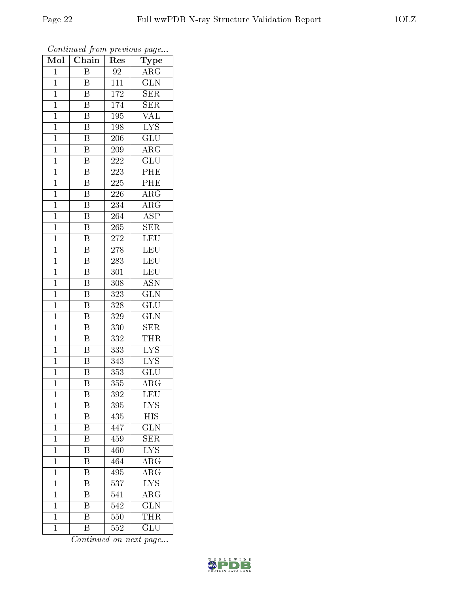| Mol            | Chain                   | r -<br>Res       | $\mathbf{r}$ $\sim$ $\mathbf{v}$<br>Type |
|----------------|-------------------------|------------------|------------------------------------------|
| $\mathbf 1$    | $\boldsymbol{B}$        | 92               | $\overline{\text{ARG}}$                  |
| $\mathbf{1}$   | B                       | 111              | $\overline{\text{GLN}}$                  |
| $\overline{1}$ | Β                       | 172              | SER                                      |
| $\mathbf{1}$   | $\boldsymbol{B}$        | 174              | <b>SER</b>                               |
| $\overline{1}$ | $\overline{\mathrm{B}}$ | 195              | $\overline{\text{VAL}}$                  |
| $\mathbf 1$    | B                       | 198              | $\overline{\text{LYS}}$                  |
| $\mathbf{1}$   | B                       | 206              | $\widetilde{{\rm GLU}}$                  |
| $\mathbf{1}$   | $\overline{\mathbf{B}}$ | 209              | $\rm{ARG}$                               |
| $\overline{1}$ | $\overline{\mathrm{B}}$ | 222              | $\overline{\text{GLU}}$                  |
| $\mathbf 1$    | $\overline{\mathrm{B}}$ | 223              | PHE                                      |
| $\mathbf{1}$   | $\overline{\mathrm{B}}$ | 225              | PHE                                      |
| $\mathbf{1}$   | $\overline{\mathrm{B}}$ | 226              | $\rm{ARG}$                               |
| $\mathbf{1}$   | $\overline{\mathbf{B}}$ | 234              | $\overline{\rm ARG}$                     |
| $\mathbf 1$    | $\boldsymbol{B}$        | $\overline{2}64$ | <b>ASP</b>                               |
| $\overline{1}$ | $\overline{\mathrm{B}}$ | 265              | $\overline{\text{SER}}$                  |
| $\mathbf{1}$   | Β                       | $\bf 272$        | LEU                                      |
| $\mathbf{1}$   | $\overline{\mathrm{B}}$ | 278              | <b>LEU</b>                               |
| $\mathbf{1}$   | $\, {\bf B}$            | 283              | <b>LEU</b>                               |
| $\mathbf{1}$   | $\overline{\mathrm{B}}$ | 301              | $\overline{\text{LEU}}$                  |
| $\mathbf{1}$   | $\overline{\mathrm{B}}$ | 308              | $\overline{\text{ASN}}$                  |
| $\mathbf{1}$   | $\overline{\mathrm{B}}$ | 323              | $\overline{\text{GLN}}$                  |
| $\overline{1}$ | $\overline{\mathrm{B}}$ | 328              | $\overline{\text{GLU}}$                  |
| $\mathbf 1$    | Β                       | 329              | $\overline{\text{GLN}}$                  |
| $\overline{1}$ | Β                       | 330              | $\overline{\text{SER}}$                  |
| $\mathbf{1}$   | $\overline{\mathrm{B}}$ | 332              | <b>THR</b>                               |
| $\mathbf{1}$   | $\overline{\mathrm{B}}$ | 333              | $\overline{\text{LYS}}$                  |
| $\mathbf 1$    | $\overline{\mathrm{B}}$ | 343              | $\overline{\text{LYS}}$                  |
| $\overline{1}$ | $\overline{\mathrm{B}}$ | 353              | GLU                                      |
| $\overline{1}$ | $\overline{\mathrm{B}}$ | 355              | $\overline{\rm{ARG}}$                    |
| 1              | Β                       | 392              | <b>LEU</b>                               |
| $\mathbf{1}$   | B                       | 395              | <b>LYS</b>                               |
| $\mathbf{1}$   | $\overline{\mathrm{B}}$ | $\overline{4}35$ | <b>HIS</b>                               |
| $\mathbf{1}$   | B                       | 447              | $\overline{\text{GLN}}$                  |
| $\overline{1}$ | $\overline{\mathrm{B}}$ | 459              | $\overline{\text{SER}}$                  |
| $\mathbf 1$    | Β                       | 460              | <b>LYS</b>                               |
| $\mathbf 1$    | $\overline{\mathrm{B}}$ | 464              | $\overline{\rm{ARG}}$                    |
| $\mathbf 1$    | Β                       | 495              | $\overline{\rm ARG}$                     |
| $\overline{1}$ | $\overline{\rm B}$      | 537              | $\overline{\rm LYS}$                     |
| $\mathbf 1$    | $\overline{\mathrm{B}}$ | 541              | $\bar{\rm{ARG}}$                         |
| $\mathbf 1$    | $\overline{\mathrm{B}}$ | 542              | $\overline{\text{GLN}}$                  |
| $\mathbf 1$    | $\overline{\mathrm{B}}$ | 550              | THR                                      |
| $\mathbf{1}$   | $\overline{B}$          | 552              | $\overline{\text{GLU}}$                  |

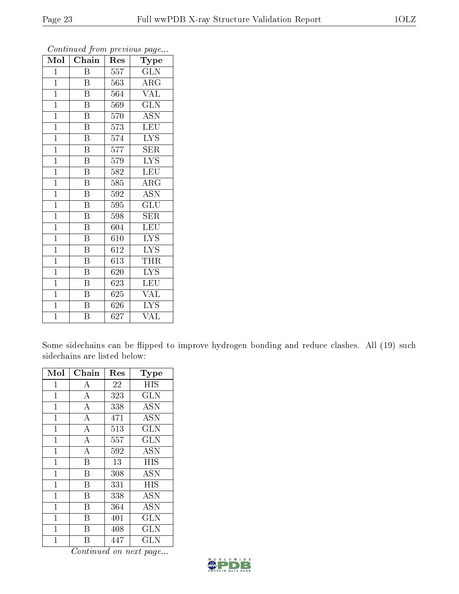| $\overline{\text{Mol}}$ | Chain                   | Res              | $\overline{\phantom{a}}$<br>Type |
|-------------------------|-------------------------|------------------|----------------------------------|
| $\mathbf{1}$            | B                       | 557              | GLN                              |
| $\overline{1}$          | B                       | 563              | $\rm{ARG}$                       |
| $\overline{1}$          | $\overline{\mathrm{B}}$ | 564              | <b>VAL</b>                       |
| $\mathbf{1}$            | $\boldsymbol{B}$        | 569              | <b>GLN</b>                       |
| $\mathbf{1}$            | $\boldsymbol{B}$        | 570              | <b>ASN</b>                       |
| $\mathbf{1}$            | B                       | 573              | LEU                              |
| $\mathbf{1}$            | $\overline{\mathrm{B}}$ | 574              | <b>LYS</b>                       |
| $\overline{1}$          | $\overline{\mathrm{B}}$ | $\overline{5}77$ | <b>SER</b>                       |
| $\mathbf{1}$            | $\overline{\text{B}}$   | 579              | $\overline{\text{LYS}}$          |
| $\mathbf{1}$            | $\overline{\mathrm{B}}$ | 582              | <b>LEU</b>                       |
| $\mathbf{1}$            | $\overline{\mathrm{B}}$ | 585              | ARG                              |
| $\overline{1}$          | $\overline{\mathrm{B}}$ | 592              | $\overline{\mathrm{ASN}}$        |
| $\overline{1}$          | $\overline{B}$          | 595              | GLU                              |
| $\overline{1}$          | $\overline{\mathrm{B}}$ | 598              | SER                              |
| $\overline{1}$          | $\overline{\mathrm{B}}$ | 604              | LEU                              |
| $\mathbf{1}$            | $\boldsymbol{B}$        | 610              | <b>LYS</b>                       |
| $\mathbf{1}$            | B                       | 612              | $\overline{\text{L}} \text{YS}$  |
| $\mathbf{1}$            | $\overline{B}$          | 613              | THR                              |
| $\mathbf 1$             | B                       | 620              | <b>LYS</b>                       |
| $\overline{1}$          | $\overline{\mathrm{B}}$ | 623              | LEU                              |
| $\mathbf{1}$            | $\overline{\mathrm{B}}$ | 625              | <b>VAL</b>                       |
| $\overline{1}$          | $\overline{\mathrm{B}}$ | 626              | $\overline{\text{LYS}}$          |
| $\mathbf 1$             | $\overline{\mathrm{B}}$ | 627              | $\rm \bar{V}AL$                  |

Some sidechains can be flipped to improve hydrogen bonding and reduce clashes. All (19) such sidechains are listed below:

| Mol            | Chain            | $\operatorname{Res}% \left( \mathcal{N}\right) \equiv\operatorname{Res}(\mathcal{N}_{0},\mathcal{N}_{0})$ | Type       |
|----------------|------------------|-----------------------------------------------------------------------------------------------------------|------------|
| 1              | А                | 22                                                                                                        | <b>HIS</b> |
| $\mathbf{1}$   | $\boldsymbol{A}$ | 323                                                                                                       | <b>GLN</b> |
| $\mathbf{1}$   | $\boldsymbol{A}$ | 338                                                                                                       | <b>ASN</b> |
| $\mathbf 1$    | $\overline{A}$   | 471                                                                                                       | <b>ASN</b> |
| $\mathbf{1}$   | A                | 513                                                                                                       | <b>GLN</b> |
| $\mathbf{1}$   | $\boldsymbol{A}$ | 557                                                                                                       | <b>GLN</b> |
| $\mathbf 1$    | $\overline{A}$   | 592                                                                                                       | <b>ASN</b> |
| $\mathbf{1}$   | B                | 13                                                                                                        | <b>HIS</b> |
| $\mathbf{1}$   | B                | 308                                                                                                       | <b>ASN</b> |
| $\mathbf 1$    | В                | 331                                                                                                       | <b>HIS</b> |
| $\mathbf{1}$   | B                | 338                                                                                                       | <b>ASN</b> |
| $\mathbf{1}$   | B                | 364                                                                                                       | <b>ASN</b> |
| $\overline{1}$ | В                | 401                                                                                                       | <b>GLN</b> |
| $\mathbf{1}$   | В                | 408                                                                                                       | <b>GLN</b> |
| $\mathbf 1$    | R                | 447                                                                                                       | <b>GLN</b> |

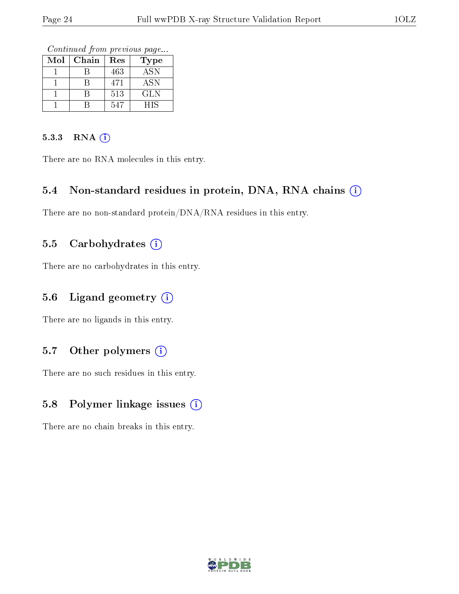Continued from previous page...

| Mol | Chain | Res | Type                      |
|-----|-------|-----|---------------------------|
|     |       | 463 | $\overline{\mathrm{ASN}}$ |
|     |       | 471 | <b>ASN</b>                |
|     |       | 513 | GLN                       |
|     |       | 547 | HIS                       |

#### 5.3.3 RNA (i)

There are no RNA molecules in this entry.

#### 5.4 Non-standard residues in protein, DNA, RNA chains (i)

There are no non-standard protein/DNA/RNA residues in this entry.

#### 5.5 Carbohydrates  $(i)$

There are no carbohydrates in this entry.

#### 5.6 Ligand geometry  $(i)$

There are no ligands in this entry.

### 5.7 [O](https://www.wwpdb.org/validation/2017/XrayValidationReportHelp#nonstandard_residues_and_ligands)ther polymers  $(i)$

There are no such residues in this entry.

#### 5.8 Polymer linkage issues (i)

There are no chain breaks in this entry.

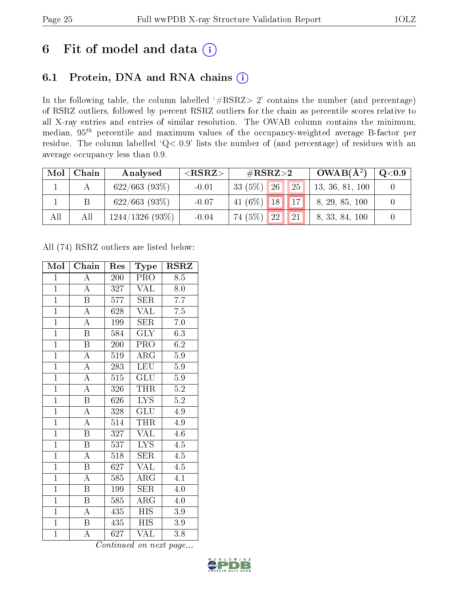## 6 Fit of model and data  $(i)$

### 6.1 Protein, DNA and RNA chains  $(i)$

In the following table, the column labelled  $#RSRZ> 2'$  contains the number (and percentage) of RSRZ outliers, followed by percent RSRZ outliers for the chain as percentile scores relative to all X-ray entries and entries of similar resolution. The OWAB column contains the minimum, median,  $95<sup>th</sup>$  percentile and maximum values of the occupancy-weighted average B-factor per residue. The column labelled ' $Q< 0.9$ ' lists the number of (and percentage) of residues with an average occupancy less than 0.9.

| Mol | Chain | Analysed          | ${ <\hspace{-1.5pt}{\mathrm{RSRZ}} \hspace{-1.5pt}>}$ | $\#\text{RSRZ}{>}2$                  | $OWAB(A^2)$     | Q <sub>0.9</sub> |
|-----|-------|-------------------|-------------------------------------------------------|--------------------------------------|-----------------|------------------|
|     |       | $622/663$ (93\%)  | $-0.01$                                               | 25 <br>$33(5\%)$ 26                  | 13, 36, 81, 100 |                  |
|     |       | $622/663$ (93%)   | $-0.07$                                               | $141(6\%)$ 18 17                     | 8, 29, 85, 100  |                  |
| All | All   | $1244/1326(93\%)$ | $-0.04$                                               | 21 <br>74 (5%)<br>$\vert$ 22 $\vert$ | 8, 33, 84, 100  |                  |

All (74) RSRZ outliers are listed below:

| Mol            | Chain                   | Res              | Type                    | <b>RSRZ</b>      |
|----------------|-------------------------|------------------|-------------------------|------------------|
| $\mathbf{1}$   | $\overline{\rm A}$      | 200              | PRO                     | 8.5              |
| $\mathbf{1}$   | $\overline{\rm A}$      | 327              | <b>VAL</b>              | 8.0              |
| $\overline{1}$ | $\overline{\mathrm{B}}$ | 577              | $\overline{\text{SER}}$ | $\overline{7.7}$ |
| $\overline{1}$ | $\overline{\rm A}$      | 628              | <b>VAL</b>              | 7.5              |
| $\overline{1}$ | $\overline{\rm A}$      | 199              | <b>SER</b>              | $7.0\,$          |
| $\overline{1}$ | $\overline{\mathrm{B}}$ | 584              | $\overline{\text{GLY}}$ | 6.3              |
| $\overline{1}$ | $\boldsymbol{B}$        | 200              | PRO                     | 6.2              |
| $\overline{1}$ | $\overline{\rm A}$      | 519              | $\rm{ARG}$              | 5.9              |
| $\overline{1}$ | $\overline{\rm A}$      | 283              | <b>LEU</b>              | $\overline{5.9}$ |
| $\overline{1}$ | $\overline{\rm A}$      | $\overline{515}$ | $\overline{{\rm GLU}}$  | $\overline{5.9}$ |
| $\overline{1}$ | $\overline{\rm A}$      | 326              | <b>THR</b>              | $\overline{5.2}$ |
| $\overline{1}$ | $\overline{\mathrm{B}}$ | 626              | $\overline{\text{LYS}}$ | $\overline{5.2}$ |
| $\overline{1}$ | $\overline{\rm A}$      | 328              | GLU                     | 4.9              |
| $\overline{1}$ | $\overline{\rm A}$      | 514              | THR                     | 4.9              |
| $\overline{1}$ | $\overline{\mathrm{B}}$ | 327              | <b>VAL</b>              | 4.6              |
| $\mathbf{1}$   | $\boldsymbol{B}$        | 537              | <b>LYS</b>              | 4.5              |
| $\overline{1}$ | $\overline{\rm A}$      | $\overline{518}$ | $\overline{\text{SER}}$ | 4.5              |
| $\overline{1}$ | Β                       | 627              | VAL                     | 4.5              |
| $\overline{1}$ | $\overline{\rm A}$      | 585              | $\rm{ARG}$              | $\overline{4.1}$ |
| $\overline{1}$ | $\overline{\mathrm{B}}$ | 199              | SER                     | 4.0              |
| $\overline{1}$ | $\boldsymbol{B}$        | 585              | $\rm{ARG}$              | $4.0\,$          |
| $\overline{1}$ | A                       | 435              | <b>HIS</b>              | 3.9              |
| $\overline{1}$ | B                       | 435              | $\overline{H}$ IS       | $3.9\,$          |
| $\overline{1}$ | $\overline{\rm A}$      | 627              | $\overline{\text{VAL}}$ | 3.8              |

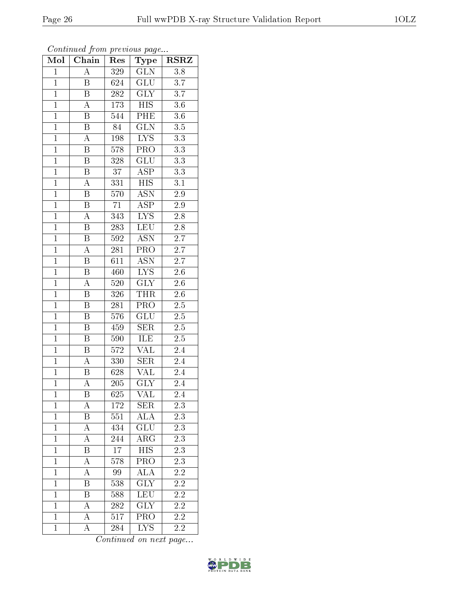| o o           |
|---------------|
| $3.3\,$       |
| 3.3           |
| 3.3           |
| 3.1           |
| $2.9\,$       |
| $2.9\,$       |
| $2.8\,$       |
| $2.8\,$       |
| 2.7           |
| 2.7           |
| 2.7           |
| $\sim$ $\sim$ |

Continued from previous page... Mol | Chain | Res | Type | RSRZ

1 A 329 GLN 3.8

| $\mathbf 1$    | Β                       | 624              | $\operatorname{GLU}$      | 3.7              |
|----------------|-------------------------|------------------|---------------------------|------------------|
| $\overline{1}$ | $\overline{\mathrm{B}}$ | 282              | <b>GLY</b>                | 3.7              |
| $\overline{1}$ | $\overline{\rm A}$      | $1\,73$          | <b>HIS</b>                | $3.6\,$          |
| $\overline{1}$ | $\overline{\mathrm{B}}$ | 544              | $\overline{\text{PHE}}$   | $\overline{3.6}$ |
| $\mathbf{1}$   | B                       | 84               | <b>GLN</b>                | $3.5\,$          |
| $\mathbf{1}$   | $\overline{A}$          | 198              | $\overline{\text{LYS}}$   | $3.3\,$          |
| $\overline{1}$ | $\overline{\mathbf{B}}$ | 578              | PRO                       | $3.3\,$          |
| $\overline{1}$ | B                       | 328              | $\overline{\text{GLU}}$   | $\overline{3.3}$ |
| $\overline{1}$ | $\overline{\mathrm{B}}$ | $\overline{37}$  | $\overline{\text{ASP}}$   | $\overline{3.3}$ |
| $\overline{1}$ | $\boldsymbol{A}$        | 331              | <b>HIS</b>                | 3.1              |
| $\overline{1}$ | $\overline{\mathrm{B}}$ | 570              | $\overline{\text{ASN}}$   | $\overline{2.9}$ |
| $\overline{1}$ | B                       | 71               | <b>ASP</b>                | $2.9\,$          |
| $\overline{1}$ | A                       | 343              | $\overline{\text{LYS}}$   | $\overline{2.8}$ |
| $\overline{1}$ | Β                       | 283              | $\overline{\text{LEU}}$   | $2.8\,$          |
| $\overline{1}$ | $\, {\bf B}$            | 592              | <b>ASN</b>                | 2.7              |
| $\overline{1}$ | $\overline{\rm A}$      | 281              | PRO                       | $\overline{2.7}$ |
| $\overline{1}$ | B                       | 611              | $\overline{\text{ASN}}$   | $\overline{2.7}$ |
| $\overline{1}$ | Β                       | 460              | $\overline{\text{LYS}}$   | $2.6\,$          |
| $\overline{1}$ | $\overline{A}$          | 520              | $\overline{\text{GLY}}$   | $\overline{2.6}$ |
| $\mathbf{1}$   | $\, {\bf B}$            | 326              | THR                       | 2.6              |
| $\overline{1}$ | $\overline{\mathrm{B}}$ | 281              | $\overline{\text{PRO}}$   | $2.5\,$          |
| $\overline{1}$ | $\boldsymbol{B}$        | $576\,$          | $\overline{\text{GLU}}$   | $\overline{2.5}$ |
| $\overline{1}$ | $\overline{\mathrm{B}}$ | 459              | $\overline{\text{SER}}$   | $\overline{2.5}$ |
| $\overline{1}$ | $\overline{\mathbf{B}}$ | 590              | ILE                       | $\overline{2.5}$ |
| $\mathbf{1}$   | B                       | 572              | VAL                       | 2.4              |
| $\overline{1}$ | $\overline{A}$          | 330              | SER                       | $2.4\,$          |
| $\overline{1}$ | B                       | 628              | $\overline{\text{VAL}}$   | 2.4              |
| $\overline{1}$ | $\overline{A}$          | 205              | $\overline{\text{GLY}}$   | $\overline{2.4}$ |
| $\overline{1}$ | $\, {\bf B}$            | 625              | <b>VAL</b>                | $2.4\,$          |
| $\overline{1}$ | $\overline{A}$          | 172              | $\overline{\text{SER}}$   | $\overline{2.3}$ |
| $\overline{1}$ | $\overline{\mathrm{B}}$ | $\overline{551}$ | <b>ALA</b>                | 2.3              |
| $\overline{1}$ | А                       | 434              | GLU                       | 2.3              |
| $\mathbf{1}$   | А                       | 244              | $AR\overline{G}$          | 2.3              |
| $\mathbf{1}$   | Β                       | 17               | <b>HIS</b>                | 2.3              |
| $\mathbf{1}$   | А                       | 578              | $\overline{\text{PRO}}$   | 2.3              |
| $\mathbf{1}$   | А                       | 99               | $\overline{\text{ALA}}$   | $\overline{2.2}$ |
| $\mathbf{1}$   | Β                       | 538              | $\text{GL}\bar{\text{Y}}$ | 2.2              |
| $\mathbf{1}$   | Β                       | 588              | LEU                       | 2.2              |
| $\mathbf{1}$   | А                       | 282              | <b>GLY</b>                | 2.2              |
| $\mathbf{1}$   | А                       | 517              | PRO                       | 2.2              |
| $\mathbf{1}$   | A                       | 284              | <b>LYS</b>                | 2.2              |